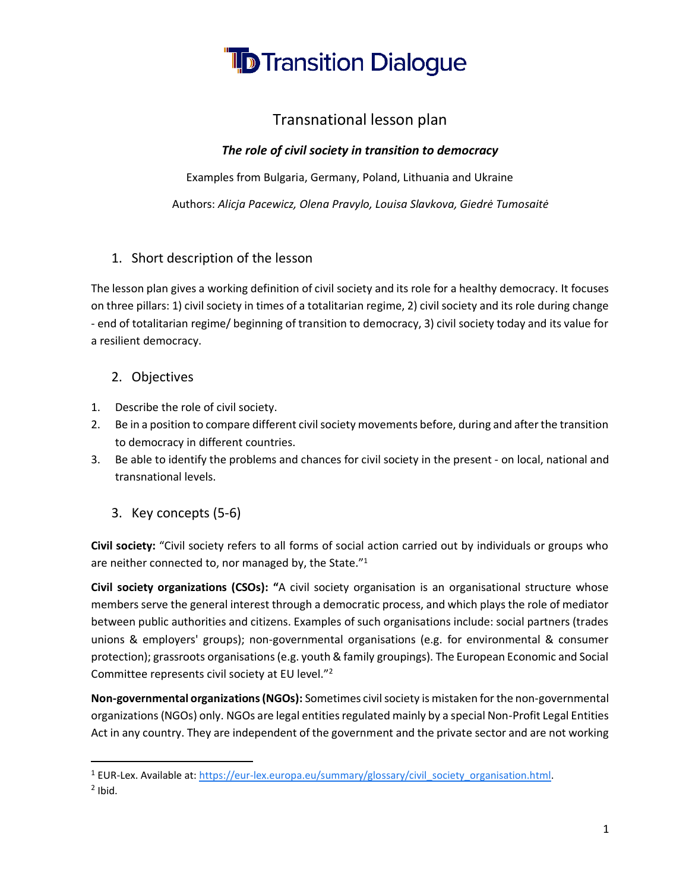

#### Transnational lesson plan

#### *The role of civil society in transition to democracy*

Examples from Bulgaria, Germany, Poland, Lithuania and Ukraine

Authors: *Alicja Pacewicz, Olena Pravylo, Louisa Slavkova, Giedrė Tumosaitė*

#### 1. Short description of the lesson

The lesson plan gives a working definition of civil society and its role for a healthy democracy. It focuses on three pillars: 1) civil society in times of a totalitarian regime, 2) civil society and its role during change - end of totalitarian regime/ beginning of transition to democracy, 3) civil society today and its value for a resilient democracy.

#### 2. Objectives

- 1. Describe the role of civil society.
- 2. Be in a position to compare different civil society movements before, during and after the transition to democracy in different countries.
- 3. Be able to identify the problems and chances for civil society in the present on local, national and transnational levels.
	- 3. Key concepts (5-6)

**Civil society:** "Civil society refers to all forms of social action carried out by individuals or groups who are neither connected to, nor managed by, the State."<sup>1</sup>

**Civil society organizations (CSOs): "**A civil society organisation is an organisational structure whose members serve the general interest through a democratic process, and which plays the role of mediator between public authorities and citizens. Examples of such organisations include: social partners (trades unions & employers' groups); non-governmental organisations (e.g. for environmental & consumer protection); grassroots organisations (e.g. youth & family groupings). The European Economic and Social Committee represents civil society at EU level."<sup>2</sup>

**Non-governmental organizations (NGOs):** Sometimes civil society is mistaken for the non-governmental organizations (NGOs) only. NGOs are legal entities regulated mainly by a special Non-Profit Legal Entities Act in any country. They are independent of the government and the private sector and are not working

<sup>&</sup>lt;sup>1</sup> EUR-Lex. Available at: [https://eur-lex.europa.eu/summary/glossary/civil\\_society\\_organisation.html.](https://eur-lex.europa.eu/summary/glossary/civil_society_organisation.html)  $2$  Ibid.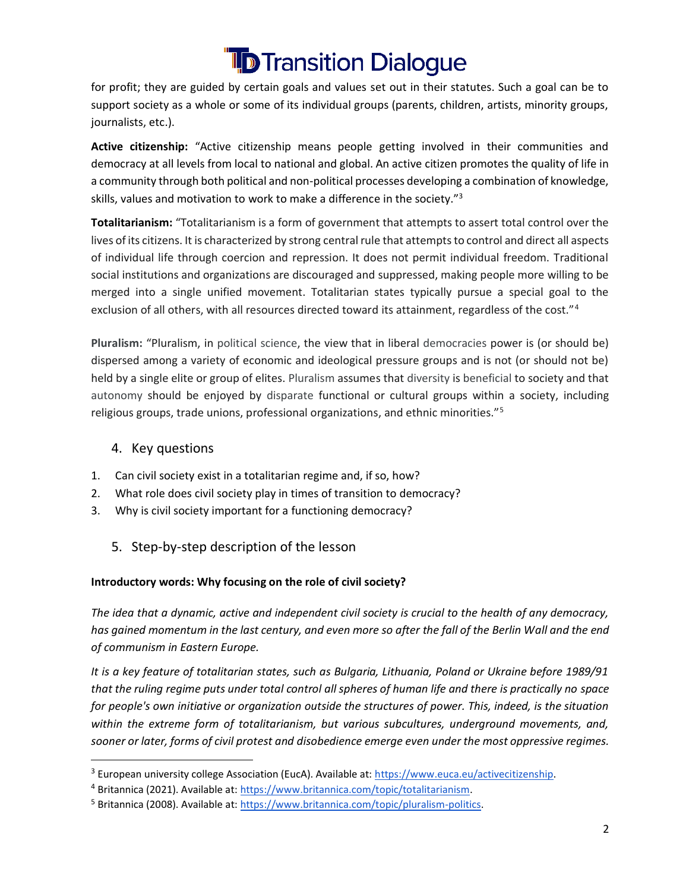for profit; they are guided by certain goals and values set out in their statutes. Such a goal can be to support society as a whole or some of its individual groups (parents, children, artists, minority groups, journalists, etc.).

**Active citizenship:** "Active citizenship means people getting involved in their communities and democracy at all levels from local to national and global. An active citizen promotes the quality of life in a community through both political and non-political processes developing a combination of knowledge, skills, values and motivation to work to make a difference in the society."<sup>3</sup>

**Totalitarianism:** "Totalitarianism is a form of government that attempts to assert total control over the lives of its citizens. It is characterized by strong central rule that attempts to control and direct all aspects of individual life through coercion and repression. It does not permit individual freedom. Traditional social institutions and organizations are discouraged and suppressed, making people more willing to be merged into a single unified movement. Totalitarian states typically pursue a special goal to the exclusion of all others, with all resources directed toward its attainment, regardless of the cost."<sup>4</sup>

**Pluralism:** "Pluralism, in political science, the view that in liberal democracies power is (or should be) dispersed among a variety of economic and ideological pressure groups and is not (or should not be) held by a single elite or group of elites. Pluralism assumes that diversity is beneficial to society and that autonomy should be enjoyed by disparate functional or cultural groups within a society, including religious groups, trade unions, professional organizations, and ethnic minorities."<sup>5</sup>

#### 4. Key questions

- 1. Can civil society exist in a totalitarian regime and, if so, how?
- 2. What role does civil society play in times of transition to democracy?
- 3. Why is civil society important for a functioning democracy?
	- 5. Step-by-step description of the lesson

#### **Introductory words: Why focusing on the role of civil society?**

*The idea that a dynamic, active and independent civil society is crucial to the health of any democracy, has gained momentum in the last century, and even more so after the fall of the Berlin Wall and the end of communism in Eastern Europe.*

*It is a key feature of totalitarian states, such as Bulgaria, Lithuania, Poland or Ukraine before 1989/91 that the ruling regime puts under total control all spheres of human life and there is practically no space for people's own initiative or organization outside the structures of power. This, indeed, is the situation within the extreme form of totalitarianism, but various subcultures, underground movements, and, sooner or later, forms of civil protest and disobedience emerge even under the most oppressive regimes.* 

<sup>&</sup>lt;sup>3</sup> European university college Association (EucA). Available at: [https://www.euca.eu/activecitizenship.](https://www.euca.eu/activecitizenship)

<sup>4</sup> Britannica (2021). Available at[: https://www.britannica.com/topic/totalitarianism.](https://www.britannica.com/topic/totalitarianism)

<sup>5</sup> Britannica (2008). Available at[: https://www.britannica.com/topic/pluralism-politics.](https://www.britannica.com/topic/pluralism-politics)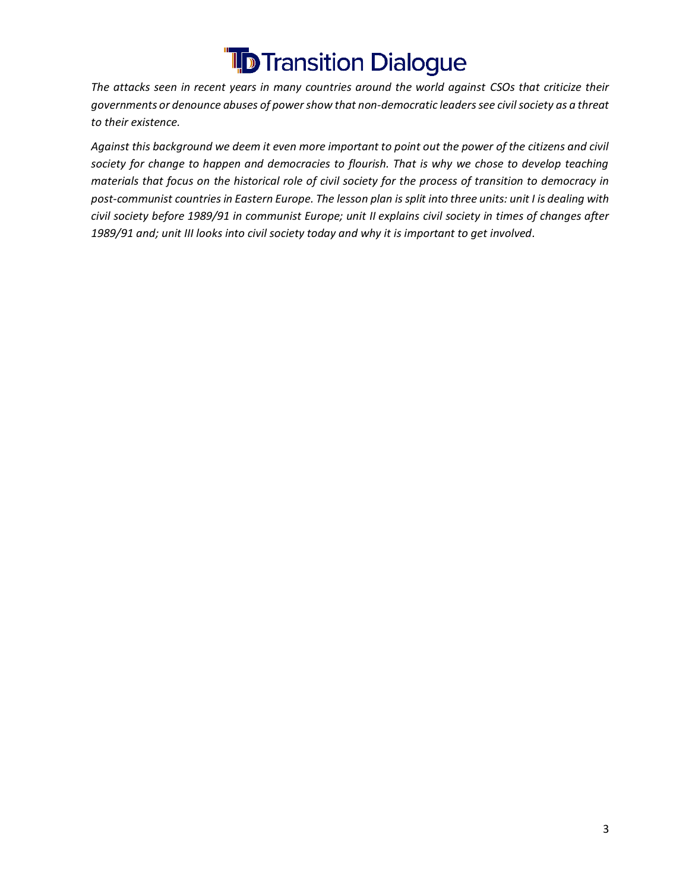*The attacks seen in recent years in many countries around the world against CSOs that criticize their governments or denounce abuses of power show that non-democratic leaders see civil society as a threat to their existence.* 

*Against this background we deem it even more important to point out the power of the citizens and civil society for change to happen and democracies to flourish. That is why we chose to develop teaching materials that focus on the historical role of civil society for the process of transition to democracy in post-communist countries in Eastern Europe. The lesson plan is split into three units: unit I is dealing with civil society before 1989/91 in communist Europe; unit II explains civil society in times of changes after 1989/91 and; unit III looks into civil society today and why it is important to get involved.*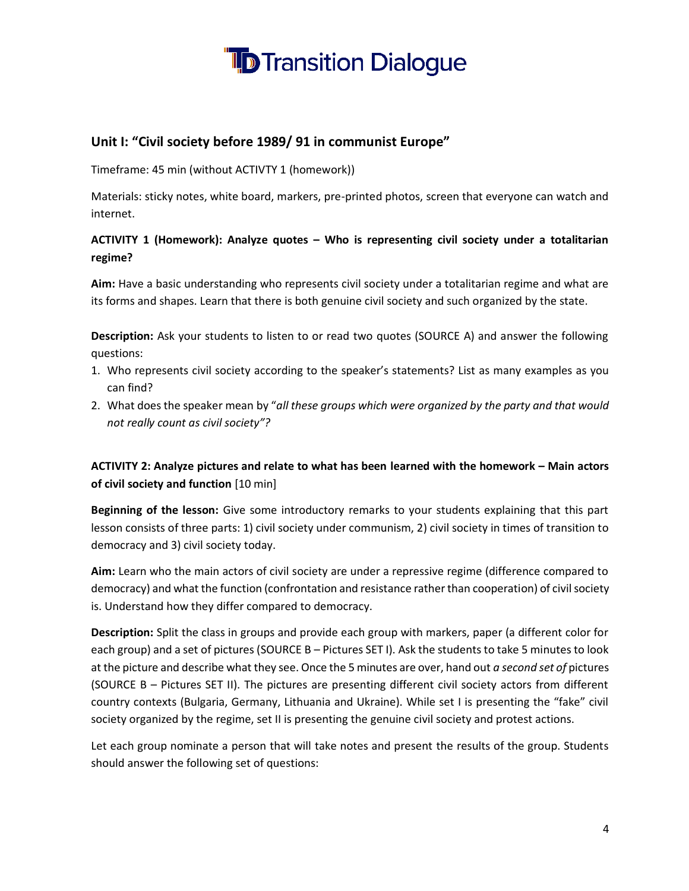

#### **Unit I: "Civil society before 1989/ 91 in communist Europe"**

Timeframe: 45 min (without ACTIVTY 1 (homework))

Materials: sticky notes, white board, markers, pre-printed photos, screen that everyone can watch and internet.

#### **ACTIVITY 1 (Homework): Analyze quotes – Who is representing civil society under a totalitarian regime?**

**Aim:** Have a basic understanding who represents civil society under a totalitarian regime and what are its forms and shapes. Learn that there is both genuine civil society and such organized by the state.

**Description:** Ask your students to listen to or read two quotes (SOURCE A) and answer the following questions:

- 1. Who represents civil society according to the speaker's statements? List as many examples as you can find?
- 2. What does the speaker mean by "*all these groups which were organized by the party and that would not really count as civil society"?*

#### **ACTIVITY 2: Analyze pictures and relate to what has been learned with the homework – Main actors of civil society and function** [10 min]

**Beginning of the lesson:** Give some introductory remarks to your students explaining that this part lesson consists of three parts: 1) civil society under communism, 2) civil society in times of transition to democracy and 3) civil society today.

**Aim:** Learn who the main actors of civil society are under a repressive regime (difference compared to democracy) and what the function (confrontation and resistance rather than cooperation) of civil society is. Understand how they differ compared to democracy.

**Description:** Split the class in groups and provide each group with markers, paper (a different color for each group) and a set of pictures (SOURCE B – Pictures SET I). Ask the students to take 5 minutes to look at the picture and describe what they see. Once the 5 minutes are over, hand out *a second set of* pictures (SOURCE B – Pictures SET II). The pictures are presenting different civil society actors from different country contexts (Bulgaria, Germany, Lithuania and Ukraine). While set I is presenting the "fake" civil society organized by the regime, set II is presenting the genuine civil society and protest actions.

Let each group nominate a person that will take notes and present the results of the group. Students should answer the following set of questions: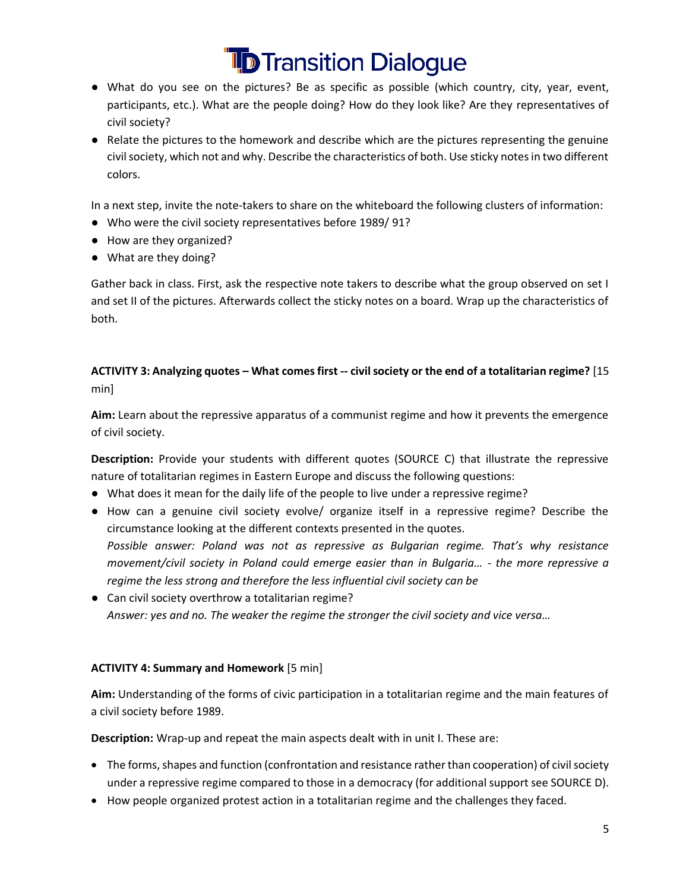- What do you see on the pictures? Be as specific as possible (which country, city, year, event, participants, etc.). What are the people doing? How do they look like? Are they representatives of civil society?
- Relate the pictures to the homework and describe which are the pictures representing the genuine civil society, which not and why. Describe the characteristics of both. Use sticky notes in two different colors.

In a next step, invite the note-takers to share on the whiteboard the following clusters of information:

- Who were the civil society representatives before 1989/ 91?
- How are they organized?
- What are they doing?

Gather back in class. First, ask the respective note takers to describe what the group observed on set I and set II of the pictures. Afterwards collect the sticky notes on a board. Wrap up the characteristics of both.

#### **ACTIVITY 3: Analyzing quotes – What comes first -- civil society or the end of a totalitarian regime?** [15 min]

**Aim:** Learn about the repressive apparatus of a communist regime and how it prevents the emergence of civil society.

**Description:** Provide your students with different quotes (SOURCE C) that illustrate the repressive nature of totalitarian regimes in Eastern Europe and discuss the following questions:

- What does it mean for the daily life of the people to live under a repressive regime?
- How can a genuine civil society evolve/ organize itself in a repressive regime? Describe the circumstance looking at the different contexts presented in the quotes. *Possible answer: Poland was not as repressive as Bulgarian regime. That's why resistance movement/civil society in Poland could emerge easier than in Bulgaria… - the more repressive a regime the less strong and therefore the less influential civil society can be*
- Can civil society overthrow a totalitarian regime? *Answer: yes and no. The weaker the regime the stronger the civil society and vice versa…*

#### **ACTIVITY 4: Summary and Homework** [5 min]

**Aim:** Understanding of the forms of civic participation in a totalitarian regime and the main features of a civil society before 1989.

**Description:** Wrap-up and repeat the main aspects dealt with in unit I. These are:

- The forms, shapes and function (confrontation and resistance rather than cooperation) of civil society under a repressive regime compared to those in a democracy (for additional support see SOURCE D).
- How people organized protest action in a totalitarian regime and the challenges they faced.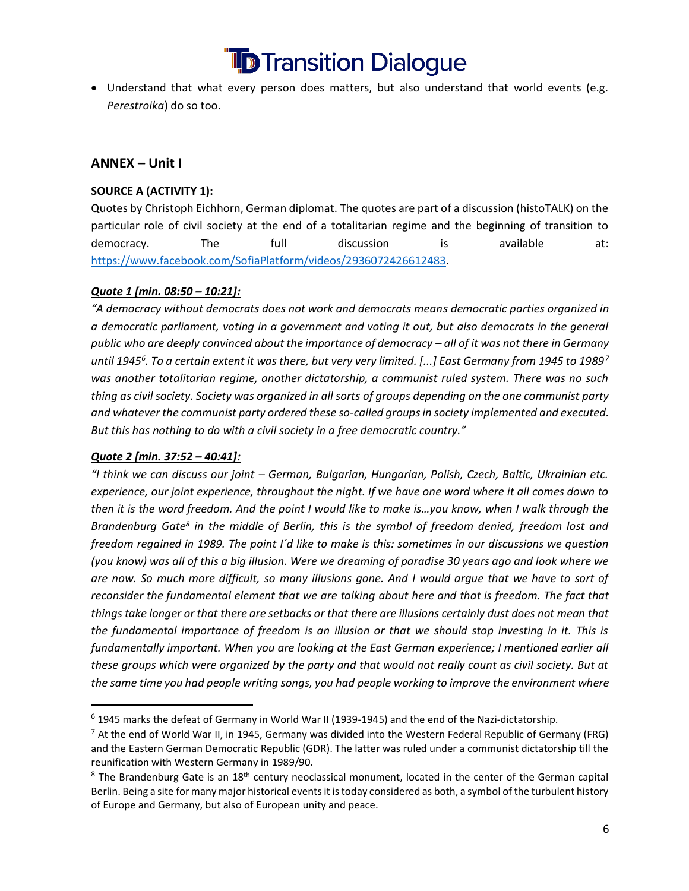• Understand that what every person does matters, but also understand that world events (e.g. *Perestroika*) do so too.

#### **ANNEX – Unit I**

#### **SOURCE A (ACTIVITY 1):**

Quotes by Christoph Eichhorn, German diplomat. The quotes are part of a discussion (histoTALK) on the particular role of civil society at the end of a totalitarian regime and the beginning of transition to democracy. The full discussion is available at: [https://www.facebook.com/SofiaPlatform/videos/2936072426612483.](https://www.facebook.com/SofiaPlatform/videos/2936072426612483)

#### *Quote 1 [min. 08:50 – 10:21]:*

*"A democracy without democrats does not work and democrats means democratic parties organized in a democratic parliament, voting in a government and voting it out, but also democrats in the general public who are deeply convinced about the importance of democracy – all of it was not there in Germany until 1945<sup>6</sup> . To a certain extent it was there, but very very limited. [...] East Germany from 1945 to 1989<sup>7</sup> was another totalitarian regime, another dictatorship, a communist ruled system. There was no such thing as civil society. Society was organized in all sorts of groups depending on the one communist party and whatever the communist party ordered these so-called groups in society implemented and executed. But this has nothing to do with a civil society in a free democratic country."* 

#### *Quote 2 [min. 37:52 – 40:41]:*

*"I think we can discuss our joint – German, Bulgarian, Hungarian, Polish, Czech, Baltic, Ukrainian etc. experience, our joint experience, throughout the night. If we have one word where it all comes down to then it is the word freedom. And the point I would like to make is…you know, when I walk through the Brandenburg Gate<sup>8</sup> in the middle of Berlin, this is the symbol of freedom denied, freedom lost and freedom regained in 1989. The point I´d like to make is this: sometimes in our discussions we question (you know) was all of this a big illusion. Were we dreaming of paradise 30 years ago and look where we are now. So much more difficult, so many illusions gone. And I would argue that we have to sort of reconsider the fundamental element that we are talking about here and that is freedom. The fact that things take longer or that there are setbacks or that there are illusions certainly dust does not mean that the fundamental importance of freedom is an illusion or that we should stop investing in it. This is fundamentally important. When you are looking at the East German experience; I mentioned earlier all these groups which were organized by the party and that would not really count as civil society. But at the same time you had people writing songs, you had people working to improve the environment where* 

<sup>6</sup> 1945 marks the defeat of Germany in World War II (1939-1945) and the end of the Nazi-dictatorship.

 $<sup>7</sup>$  At the end of World War II, in 1945, Germany was divided into the Western Federal Republic of Germany (FRG)</sup> and the Eastern German Democratic Republic (GDR). The latter was ruled under a communist dictatorship till the reunification with Western Germany in 1989/90.

 $8$  The Brandenburg Gate is an 18<sup>th</sup> century neoclassical monument, located in the center of the German capital Berlin. Being a site for many major historical events it is today considered as both, a symbol of the turbulent history of Europe and Germany, but also of European unity and peace.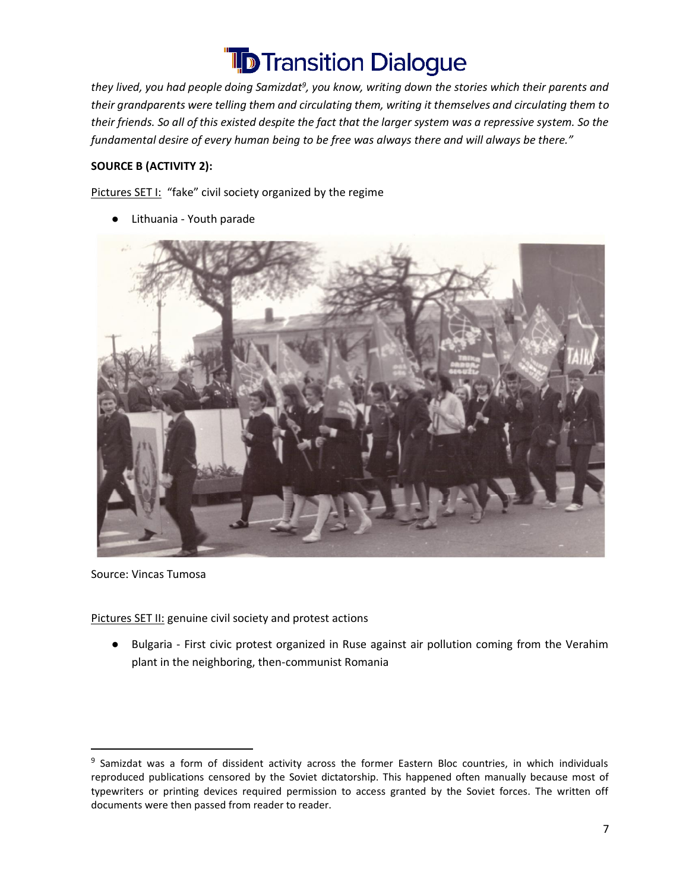*they lived, you had people doing Samizdat<sup>9</sup> , you know, writing down the stories which their parents and their grandparents were telling them and circulating them, writing it themselves and circulating them to their friends. So all of this existed despite the fact that the larger system was a repressive system. So the fundamental desire of every human being to be free was always there and will always be there."* 

#### **SOURCE B (ACTIVITY 2):**

Pictures SET I: "fake" civil society organized by the regime

● Lithuania - Youth parade



Source: Vincas Tumosa

Pictures SET II: genuine civil society and protest actions

● Bulgaria - First civic protest organized in Ruse against air pollution coming from the Verahim plant in the neighboring, then-communist Romania

<sup>&</sup>lt;sup>9</sup> Samizdat was a form of dissident activity across the former Eastern Bloc countries, in which individuals reproduced publications censored by the Soviet dictatorship. This happened often manually because most of typewriters or printing devices required permission to access granted by the Soviet forces. The written off documents were then passed from reader to reader.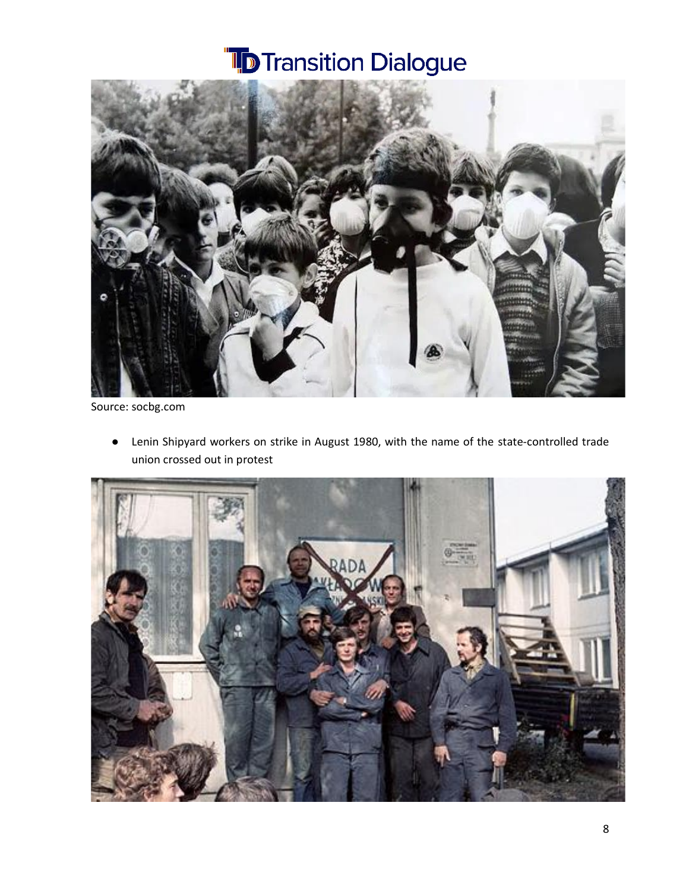

Source: socbg.com

● Lenin Shipyard workers on strike in August 1980, with the name of the state-controlled trade union crossed out in protest

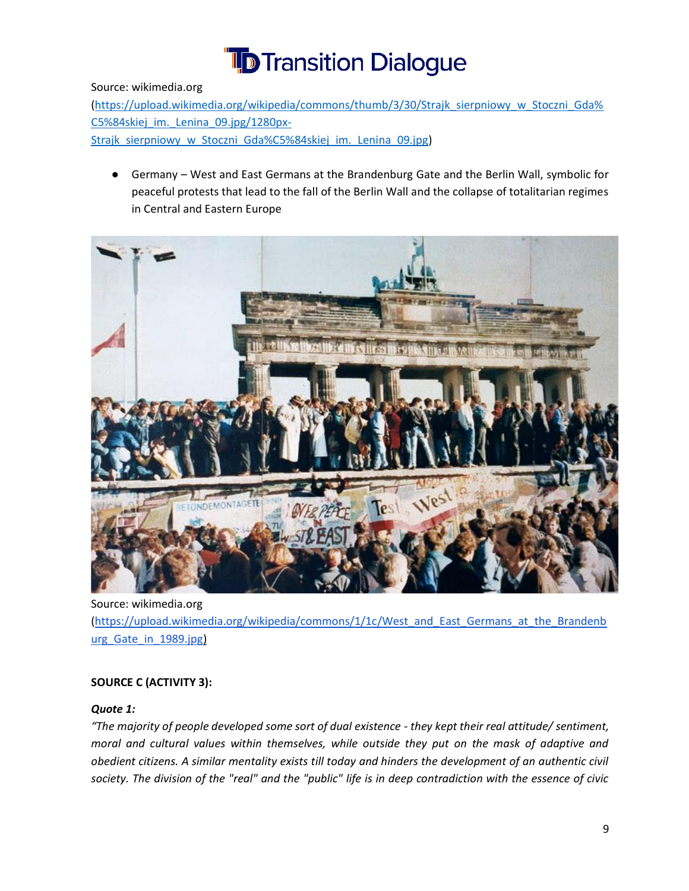Source: wikimedia.org

[\(https://upload.wikimedia.org/wikipedia/commons/thumb/3/30/Strajk\\_sierpniowy\\_w\\_Stoczni\\_Gda%](https://upload.wikimedia.org/wikipedia/commons/thumb/3/30/Strajk_sierpniowy_w_Stoczni_Gda%C5%84skiej_im._Lenina_09.jpg/1280px-Strajk_sierpniowy_w_Stoczni_Gda%C5%84skiej_im._Lenina_09.jpg) C5%84skiej im. Lenina 09.jpg/1280px-Strajk sierpniowy w Stoczni Gda%C5%84skiej im. Lenina 09.jpg)

Germany – West and East Germans at the Brandenburg Gate and the Berlin Wall, symbolic for peaceful protests that lead to the fall of the Berlin Wall and the collapse of totalitarian regimes in Central and Eastern Europe



Source: wikimedia.org [\(https://upload.wikimedia.org/wikipedia/commons/1/1c/West\\_and\\_East\\_Germans\\_at\\_the\\_Brandenb](https://upload.wikimedia.org/wikipedia/commons/1/1c/West_and_East_Germans_at_the_Brandenburg_Gate_in_1989.jpg) [urg\\_Gate\\_in\\_1989.jpg\)](https://upload.wikimedia.org/wikipedia/commons/1/1c/West_and_East_Germans_at_the_Brandenburg_Gate_in_1989.jpg)

#### **SOURCE C (ACTIVITY 3):**

#### *Quote 1:*

*"The majority of people developed some sort of dual existence - they kept their real attitude/ sentiment, moral and cultural values within themselves, while outside they put on the mask of adaptive and obedient citizens. A similar mentality exists till today and hinders the development of an authentic civil society. The division of the "real" and the "public" life is in deep contradiction with the essence of civic*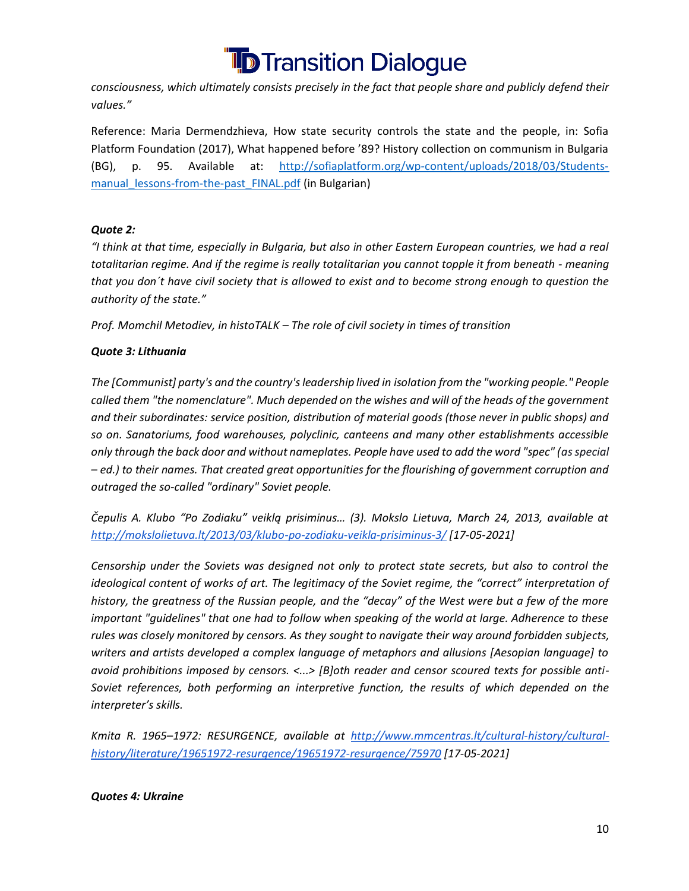

*consciousness, which ultimately consists precisely in the fact that people share and publicly defend their values."*

Reference: Maria Dermendzhieva, How state security controls the state and the people, in: Sofia Platform Foundation (2017), What happened before '89? History collection on communism in Bulgaria (BG), p. 95. Available at: [http://sofiaplatform.org/wp-content/uploads/2018/03/Students](http://sofiaplatform.org/wp-content/uploads/2018/03/Students-manual_lessons-from-the-past_FINAL.pdf)manual lessons-from-the-past FINAL.pdf (in Bulgarian)

#### *Quote 2:*

*"I think at that time, especially in Bulgaria, but also in other Eastern European countries, we had a real totalitarian regime. And if the regime is really totalitarian you cannot topple it from beneath - meaning that you don´t have civil society that is allowed to exist and to become strong enough to question the authority of the state."* 

*Prof. Momchil Metodiev, in histoTALK – The role of civil society in times of transition*

#### *Quote 3: Lithuania*

*The [Communist] party's and the country's leadership lived in isolation from the "working people." People called them "the nomenclature". Much depended on the wishes and will of the heads of the government and their subordinates: service position, distribution of material goods (those never in public shops) and so on. Sanatoriums, food warehouses, polyclinic, canteens and many other establishments accessible only through the back door and without nameplates. People have used to add the word "spec" (as special – ed.) to their names. That created great opportunities for the flourishing of government corruption and outraged the so-called "ordinary" Soviet people.*

*Čepulis A. Klubo "Po Zodiaku" veiklą prisiminus… (3). Mokslo Lietuva, March 24, 2013, available a[t](http://mokslolietuva.lt/2013/03/klubo-po-zodiaku-veikla-prisiminus-3/) <http://mokslolietuva.lt/2013/03/klubo-po-zodiaku-veikla-prisiminus-3/> [17-05-2021]*

*Censorship under the Soviets was designed not only to protect state secrets, but also to control the ideological content of works of art. The legitimacy of the Soviet regime, the "correct" interpretation of history, the greatness of the Russian people, and the "decay" of the West were but a few of the more important "guidelines" that one had to follow when speaking of the world at large. Adherence to these rules was closely monitored by censors. As they sought to navigate their way around forbidden subjects, writers and artists developed a complex language of metaphors and allusions [Aesopian language] to avoid prohibitions imposed by censors. <...> [B]oth reader and censor scoured texts for possible anti-Soviet references, both performing an interpretive function, the results of which depended on the interpreter's skills.*

*Kmita R. 1965–1972: RESURGENCE, available a[t](http://www.mmcentras.lt/cultural-history/cultural-history/literature/19651972-resurgence/19651972-resurgence/75970) [http://www.mmcentras.lt/cultural-history/cultural](http://www.mmcentras.lt/cultural-history/cultural-history/literature/19651972-resurgence/19651972-resurgence/75970)[history/literature/19651972-resurgence/19651972-resurgence/75970](http://www.mmcentras.lt/cultural-history/cultural-history/literature/19651972-resurgence/19651972-resurgence/75970) [17-05-2021]*

#### *Quotes 4: Ukraine*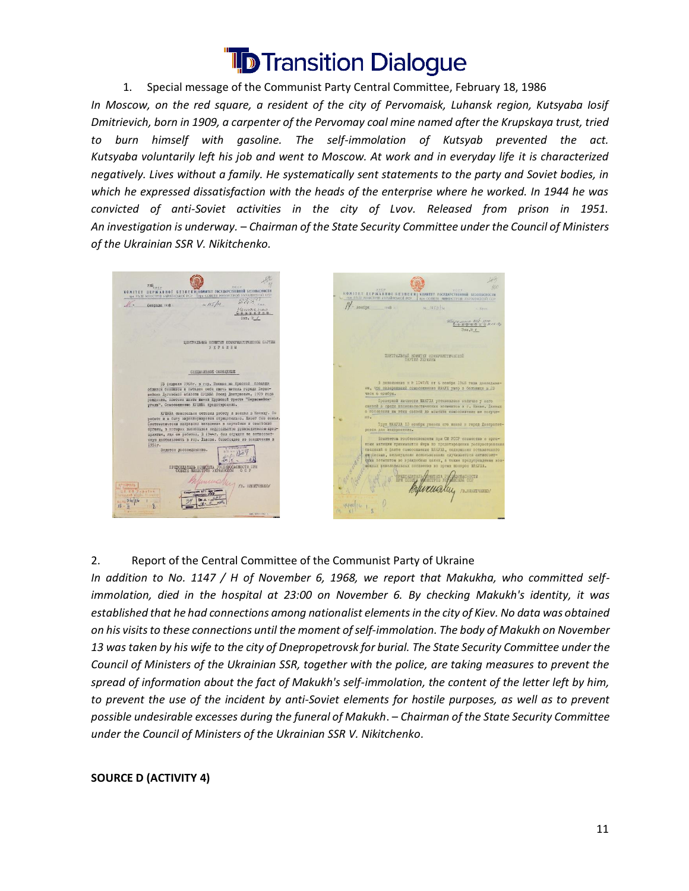

1. Special message of the Communist Party Central Committee, February 18, 1986 *In Moscow, on the red square, a resident of the city of Pervomaisk, Luhansk region, Kutsyaba Iosif Dmitrievich, born in 1909, a carpenter of the Pervomay coal mine named after the Krupskaya trust, tried to burn himself with gasoline. The self-immolation of Kutsyab prevented the act. Kutsyaba voluntarily left his job and went to Moscow. At work and in everyday life it is characterized negatively. Lives without a family. He systematically sent statements to the party and Soviet bodies, in which he expressed dissatisfaction with the heads of the enterprise where he worked. In 1944 he was convicted of anti-Soviet activities in the city of Lvov. Released from prison in 1951. An investigation is underway.* – *Chairman of the State Security Committee under the Council of Ministers of the Ukrainian SSR V. Nikitchenko.*

**THE THE REPARABING ESTERN KOMITET AEP WASHING IS ESSEEK H KOMHTET TOCYAR** despage 1958  $1.5/4$ HONODE  $1968$  $-11591$ ЦЕНТРАЛЬНЫЙ КОМИТЕТ КОМИУНИСТИЧЕСКОЙ ПАРТИИ  $\mathcal{I} \ \mathbb{E} \ \mathbb{P} \ \mathbb{A} \ \mathbb{H} \ \mathbb{H}$ AZLHE KOMMIST KOMM CHEIMAREGOE COOBIERER  $130^{8}$  $20$ KACKAATKAL KOMMISTA TOCESSONACHOCTM HPH /в. никитчинко. murualay

#### 2. Report of the Central Committee of the Communist Party of Ukraine

*In addition to No. 1147 / H of November 6, 1968, we report that Makukha, who committed selfimmolation, died in the hospital at 23:00 on November 6. By checking Makukh's identity, it was established that he had connections among nationalist elements in the city of Kiev. No data was obtained on his visits to these connections until the moment of self-immolation. The body of Makukh on November 13 was taken by his wife to the city of Dnepropetrovsk for burial. The State Security Committee under the Council of Ministers of the Ukrainian SSR, together with the police, are taking measures to prevent the spread of information about the fact of Makukh's self-immolation, the content of the letter left by him, to prevent the use of the incident by anti-Soviet elements for hostile purposes, as well as to prevent possible undesirable excesses during the funeral of Makukh*. – *Chairman of the State Security Committee under the Council of Ministers of the Ukrainian SSR V. Nikitchenko.*

#### **SOURCE D (ACTIVITY 4)**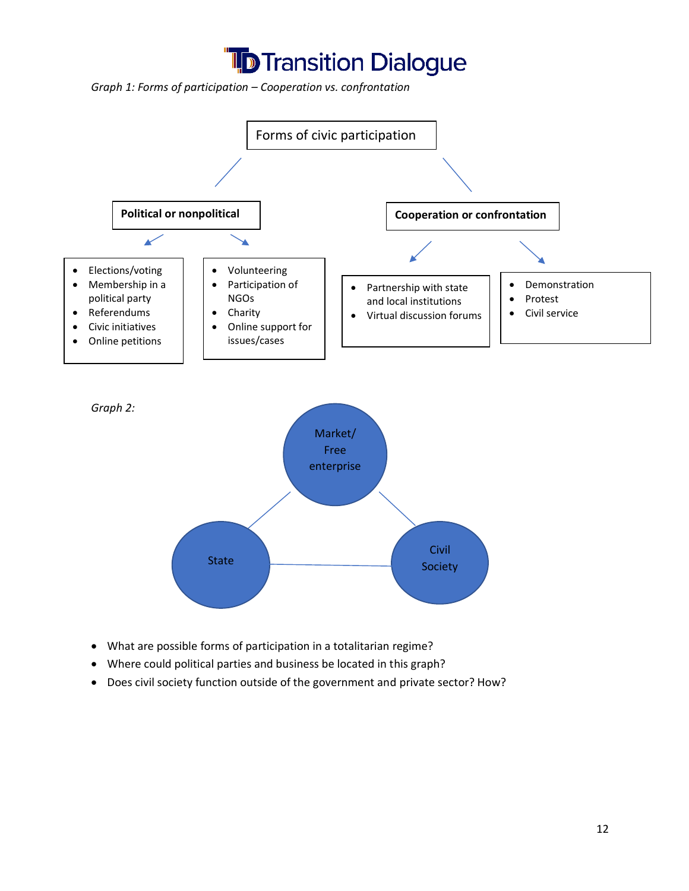

*Graph 1: Forms of participation – Cooperation vs. confrontation*



Civil

- What are possible forms of participation in a totalitarian regime?
- Where could political parties and business be located in this graph?
- Does civil society function outside of the government and private sector? How?

State Society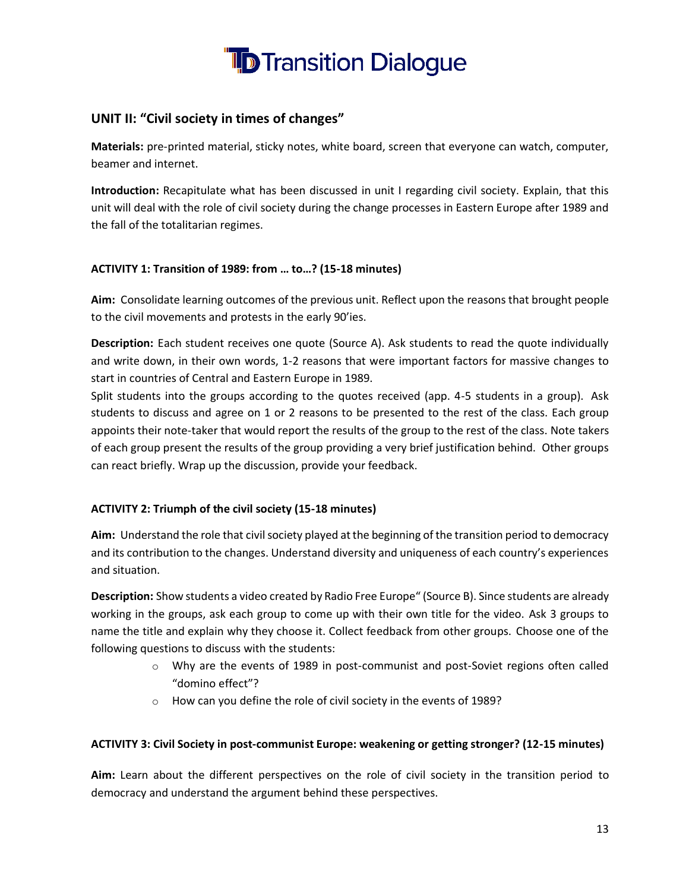

#### **UNIT II: "Civil society in times of changes"**

**Materials:** pre-printed material, sticky notes, white board, screen that everyone can watch, computer, beamer and internet.

**Introduction:** Recapitulate what has been discussed in unit I regarding civil society. Explain, that this unit will deal with the role of civil society during the change processes in Eastern Europe after 1989 and the fall of the totalitarian regimes.

#### **ACTIVITY 1: Transition of 1989: from … to…? (15-18 minutes)**

**Aim:** Consolidate learning outcomes of the previous unit. Reflect upon the reasons that brought people to the civil movements and protests in the early 90'ies.

**Description:** Each student receives one quote (Source A). Ask students to read the quote individually and write down, in their own words, 1-2 reasons that were important factors for massive changes to start in countries of Central and Eastern Europe in 1989.

Split students into the groups according to the quotes received (app. 4-5 students in a group). Ask students to discuss and agree on 1 or 2 reasons to be presented to the rest of the class. Each group appoints their note-taker that would report the results of the group to the rest of the class. Note takers of each group present the results of the group providing a very brief justification behind. Other groups can react briefly. Wrap up the discussion, provide your feedback.

#### **ACTIVITY 2: Triumph of the civil society (15-18 minutes)**

**Aim:** Understand the role that civil society played at the beginning of the transition period to democracy and its contribution to the changes. Understand diversity and uniqueness of each country's experiences and situation.

**Description:** Show students a video created by Radio Free Europe" (Source B). Since students are already working in the groups, ask each group to come up with their own title for the video. Ask 3 groups to name the title and explain why they choose it. Collect feedback from other groups. Choose one of the following questions to discuss with the students:

- o Why are the events of 1989 in post-communist and post-Soviet regions often called "domino effect"?
- o How can you define the role of civil society in the events of 1989?

#### **ACTIVITY 3: Civil Society in post-communist Europe: weakening or getting stronger? (12-15 minutes)**

**Aim:** Learn about the different perspectives on the role of civil society in the transition period to democracy and understand the argument behind these perspectives.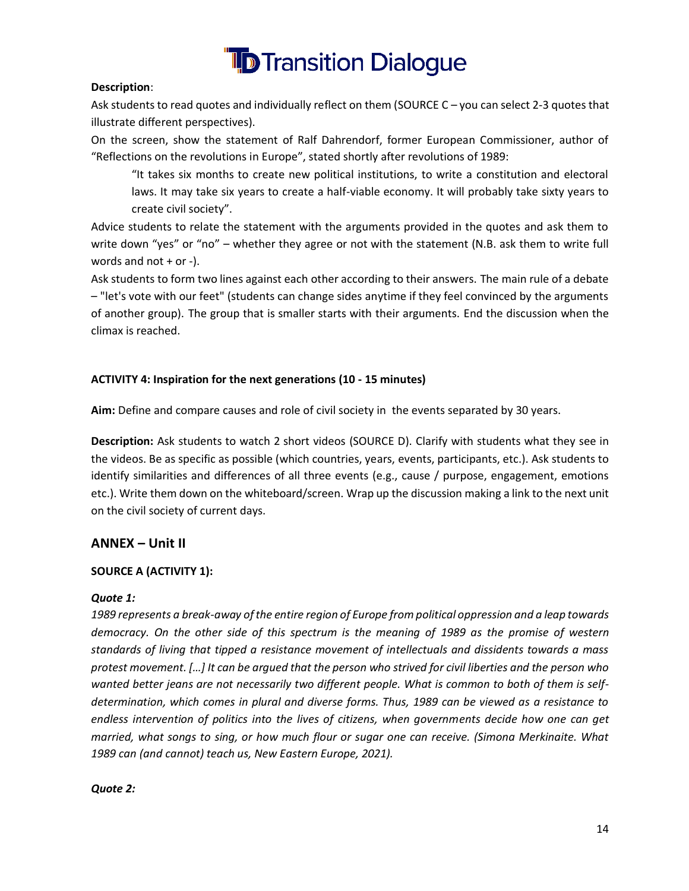

#### **Description**:

Ask students to read quotes and individually reflect on them (SOURCE C – you can select 2-3 quotes that illustrate different perspectives).

On the screen, show the statement of Ralf Dahrendorf, former European Commissioner, author of "Reflections on the revolutions in Europe", stated shortly after revolutions of 1989:

"It takes six months to create new political institutions, to write a constitution and electoral laws. It may take six years to create a half-viable economy. It will probably take sixty years to create civil society".

Advice students to relate the statement with the arguments provided in the quotes and ask them to write down "yes" or "no" – whether they agree or not with the statement (N.B. ask them to write full words and not  $+$  or  $-$ ).

Ask students to form two lines against each other according to their answers. The main rule of a debate – "let's vote with our feet" (students can change sides anytime if they feel convinced by the arguments of another group). The group that is smaller starts with their arguments. End the discussion when the climax is reached.

#### **ACTIVITY 4: Inspiration for the next generations (10 - 15 minutes)**

**Aim:** Define and compare causes and role of civil society in the events separated by 30 years.

**Description:** Ask students to watch 2 short videos (SOURCE D). Clarify with students what they see in the videos. Be as specific as possible (which countries, years, events, participants, etc.). Ask students to identify similarities and differences of all three events (e.g., cause / purpose, engagement, emotions etc.). Write them down on the whiteboard/screen. Wrap up the discussion making a link to the next unit on the civil society of current days.

#### **ANNEX – Unit II**

#### **SOURCE A (ACTIVITY 1):**

#### *Quote 1:*

*1989 represents a break-away of the entire region of Europe from political oppression and a leap towards democracy. On the other side of this spectrum is the meaning of 1989 as the promise of western standards of living that tipped a resistance movement of intellectuals and dissidents towards a mass protest movement. […] It can be argued that the person who strived for civil liberties and the person who wanted better jeans are not necessarily two different people. What is common to both of them is selfdetermination, which comes in plural and diverse forms. Thus, 1989 can be viewed as a resistance to endless intervention of politics into the lives of citizens, when governments decide how one can get married, what songs to sing, or how much flour or sugar one can receive. (Simona Merkinaite. What 1989 can (and cannot) teach us, New Eastern Europe, 2021).*

#### *Quote 2:*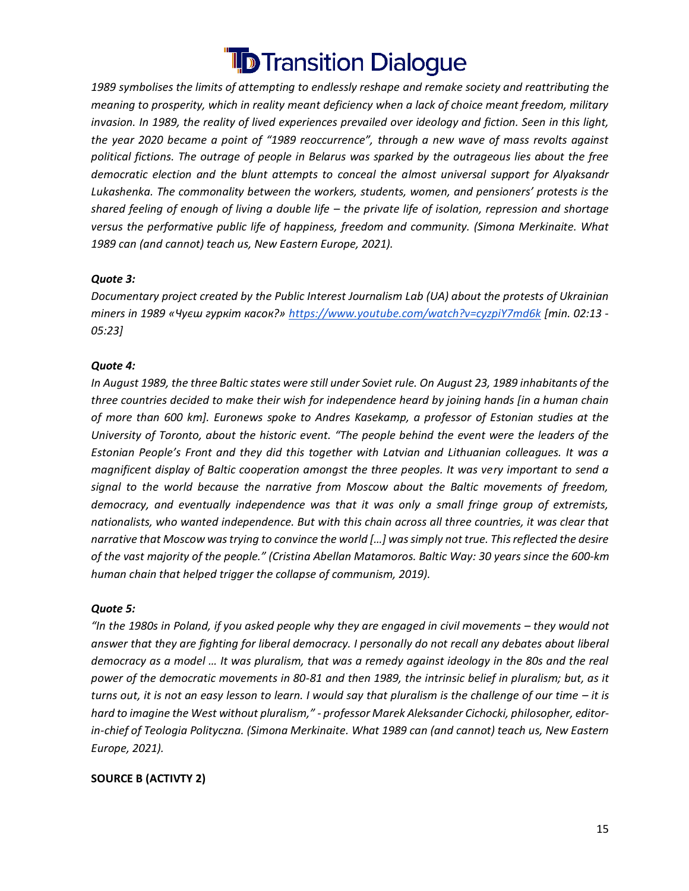*1989 symbolises the limits of attempting to endlessly reshape and remake society and reattributing the meaning to prosperity, which in reality meant deficiency when a lack of choice meant freedom, military invasion. In 1989, the reality of lived experiences prevailed over ideology and fiction. Seen in this light, the year 2020 became a point of "1989 reoccurrence", through a new wave of mass revolts against political fictions. The outrage of people in Belarus was sparked by the outrageous lies about the free democratic election and the blunt attempts to conceal the almost universal support for Alyaksandr Lukashenka. The commonality between the workers, students, women, and pensioners' protests is the shared feeling of enough of living a double life – the private life of isolation, repression and shortage versus the performative public life of happiness, freedom and community. (Simona Merkinaite. What 1989 can (and cannot) teach us, New Eastern Europe, 2021).*

#### *Quote 3:*

*Documentary project created by the Public Interest Journalism Lab (UA) about the protests of Ukrainian miners in 1989 «Чуєш гуркіт касок?» <https://www.youtube.com/watch?v=cyzpiY7md6k> [min. 02:13 - 05:23]*

#### *Quote 4:*

*In August 1989, the three Baltic states were still under Soviet rule. On August 23, 1989 inhabitants of the three countries decided to make their wish for independence heard by joining hands [in a human chain of more than 600 km]. Euronews spoke to Andres Kasekamp, a professor of Estonian studies at the University of Toronto, about the historic event. "The people behind the event were the leaders of the Estonian People's Front and they did this together with Latvian and Lithuanian colleagues. It was a magnificent display of Baltic cooperation amongst the three peoples. It was very important to send a signal to the world because the narrative from Moscow about the Baltic movements of freedom, democracy, and eventually independence was that it was only a small fringe group of extremists, nationalists, who wanted independence. But with this chain across all three countries, it was clear that narrative that Moscow was trying to convince the world […] was simply not true. This reflected the desire of the vast majority of the people." (Cristina Abellan Matamoros. Baltic Way: 30 years since the 600-km human chain that helped trigger the collapse of communism, 2019).*

#### *Quote 5:*

*"In the 1980s in Poland, if you asked people why they are engaged in civil movements – they would not answer that they are fighting for liberal democracy. I personally do not recall any debates about liberal democracy as a model … It was pluralism, that was a remedy against ideology in the 80s and the real power of the democratic movements in 80-81 and then 1989, the intrinsic belief in pluralism; but, as it turns out, it is not an easy lesson to learn. I would say that pluralism is the challenge of our time – it is hard to imagine the West without pluralism," - professor Marek Aleksander Cichocki, philosopher, editorin-chief of Teologia Polityczna. (Simona Merkinaite. What 1989 can (and cannot) teach us, New Eastern Europe, 2021).*

#### **SOURCE B (ACTIVTY 2)**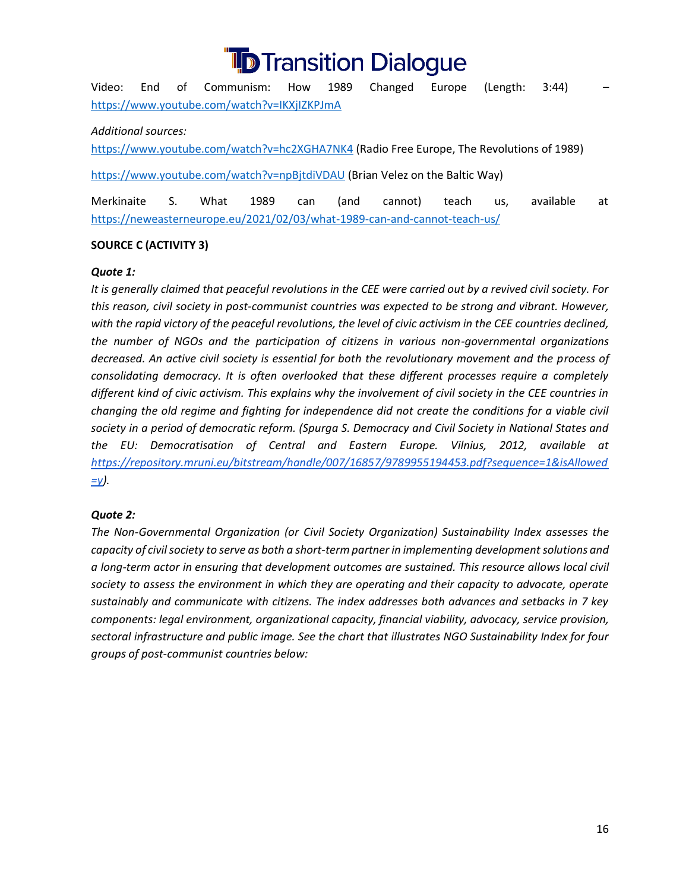Video: End of Communism: How 1989 Changed Europe (Length: 3:44) – <https://www.youtube.com/watch?v=IKXjIZKPJmA>

#### *Additional sources:*

<https://www.youtube.com/watch?v=hc2XGHA7NK4> (Radio Free Europe, The Revolutions of 1989)

<https://www.youtube.com/watch?v=npBjtdiVDAU> (Brian Velez on the Baltic Way)

Merkinaite S. What 1989 can (and cannot) teach us, available at <https://neweasterneurope.eu/2021/02/03/what-1989-can-and-cannot-teach-us/>

#### **SOURCE C (ACTIVITY 3)**

#### *Quote 1:*

*It is generally claimed that peaceful revolutions in the CEE were carried out by a revived civil society. For this reason, civil society in post-communist countries was expected to be strong and vibrant. However,*  with the rapid victory of the peaceful revolutions, the level of civic activism in the CEE countries declined, *the number of NGOs and the participation of citizens in various non-governmental organizations decreased. An active civil society is essential for both the revolutionary movement and the process of consolidating democracy. It is often overlooked that these different processes require a completely different kind of civic activism. This explains why the involvement of civil society in the CEE countries in changing the old regime and fighting for independence did not create the conditions for a viable civil society in a period of democratic reform. (Spurga S. Democracy and Civil Society in National States and the EU: Democratisation of Central and Eastern Europe. Vilnius, 2012, available at [https://repository.mruni.eu/bitstream/handle/007/16857/9789955194453.pdf?sequence=1&isAllowed](https://repository.mruni.eu/bitstream/handle/007/16857/9789955194453.pdf?sequence=1&isAllowed=y) [=y\)](https://repository.mruni.eu/bitstream/handle/007/16857/9789955194453.pdf?sequence=1&isAllowed=y).*

#### *Quote 2:*

*The Non-Governmental Organization (or Civil Society Organization) Sustainability Index assesses the capacity of civil society to serve as both a short-term partner in implementing development solutions and a long-term actor in ensuring that development outcomes are sustained. This resource allows local civil society to assess the environment in which they are operating and their capacity to advocate, operate sustainably and communicate with citizens. The index addresses both advances and setbacks in 7 key components: legal environment, organizational capacity, financial viability, advocacy, service provision, sectoral infrastructure and public image. See the chart that illustrates NGO Sustainability Index for four groups of post-communist countries below:*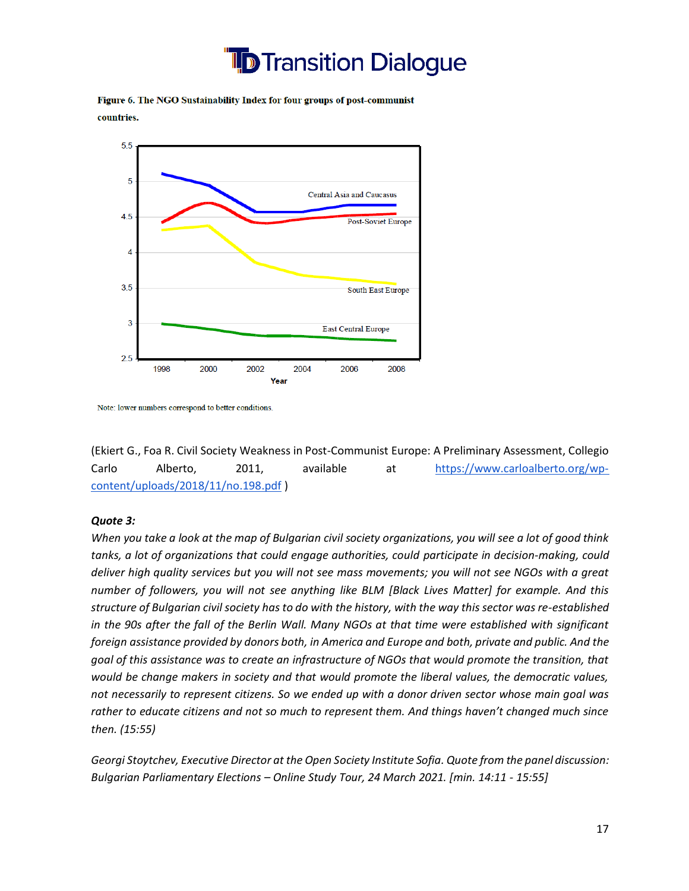

Figure 6. The NGO Sustainability Index for four groups of post-communist countries.



Note: lower numbers correspond to better conditions.

(Ekiert G., Foa R. Civil Society Weakness in Post-Communist Europe: A Preliminary Assessment, Collegio Carlo Alberto, 2011, available at [https://www.carloalberto.org/wp](https://www.carloalberto.org/wp-content/uploads/2018/11/no.198.pdf)[content/uploads/2018/11/no.198.pdf](https://www.carloalberto.org/wp-content/uploads/2018/11/no.198.pdf) )

#### *Quote 3:*

*When you take a look at the map of Bulgarian civil society organizations, you will see a lot of good think tanks, a lot of organizations that could engage authorities, could participate in decision-making, could deliver high quality services but you will not see mass movements; you will not see NGOs with a great number of followers, you will not see anything like BLM [Black Lives Matter] for example. And this structure of Bulgarian civil society has to do with the history, with the way this sector was re-established in the 90s after the fall of the Berlin Wall. Many NGOs at that time were established with significant foreign assistance provided by donors both, in America and Europe and both, private and public. And the goal of this assistance was to create an infrastructure of NGOs that would promote the transition, that would be change makers in society and that would promote the liberal values, the democratic values, not necessarily to represent citizens. So we ended up with a donor driven sector whose main goal was rather to educate citizens and not so much to represent them. And things haven't changed much since then. (15:55)*

*Georgi Stoytchev, Executive Director at the Open Society Institute Sofia. Quote from the panel discussion: Bulgarian Parliamentary Elections – Online Study Tour, 24 March 2021. [min. 14:11 - 15:55]*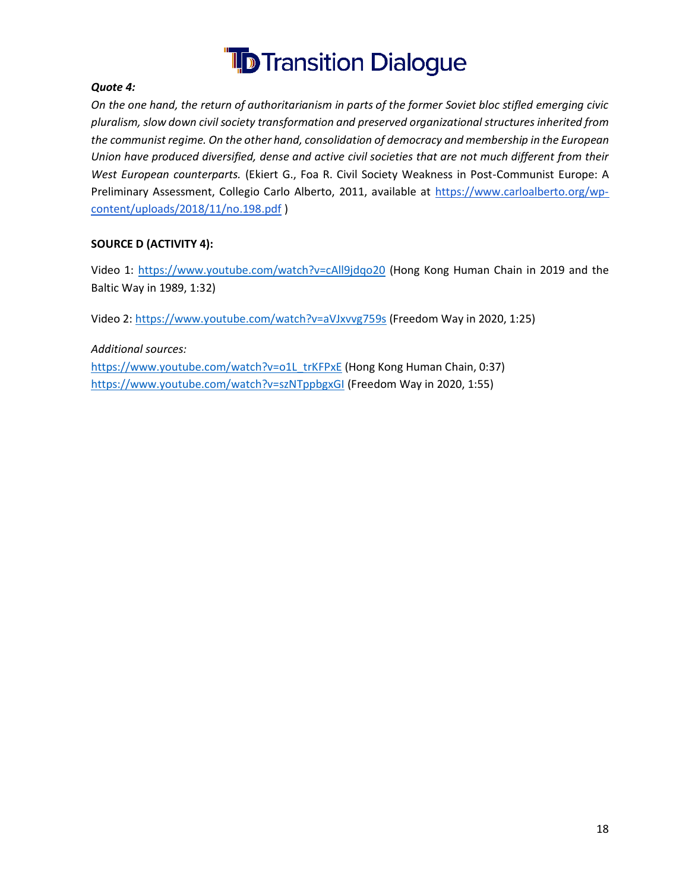

#### *Quote 4:*

*On the one hand, the return of authoritarianism in parts of the former Soviet bloc stifled emerging civic pluralism, slow down civil society transformation and preserved organizational structures inherited from the communist regime. On the other hand, consolidation of democracy and membership in the European Union have produced diversified, dense and active civil societies that are not much different from their West European counterparts.* (Ekiert G., Foa R. Civil Society Weakness in Post-Communist Europe: A Preliminary Assessment, Collegio Carlo Alberto, 2011, available at [https://www.carloalberto.org/wp](https://www.carloalberto.org/wp-content/uploads/2018/11/no.198.pdf)[content/uploads/2018/11/no.198.pdf](https://www.carloalberto.org/wp-content/uploads/2018/11/no.198.pdf) )

#### **SOURCE D (ACTIVITY 4):**

Video 1:<https://www.youtube.com/watch?v=cAll9jdqo20> (Hong Kong Human Chain in 2019 and the Baltic Way in 1989, 1:32)

Video 2:<https://www.youtube.com/watch?v=aVJxvvg759s> (Freedom Way in 2020, 1:25)

*Additional sources:*  [https://www.youtube.com/watch?v=o1L\\_trKFPxE](https://www.youtube.com/watch?v=o1L_trKFPxE) (Hong Kong Human Chain, 0:37) <https://www.youtube.com/watch?v=szNTppbgxGI> (Freedom Way in 2020, 1:55)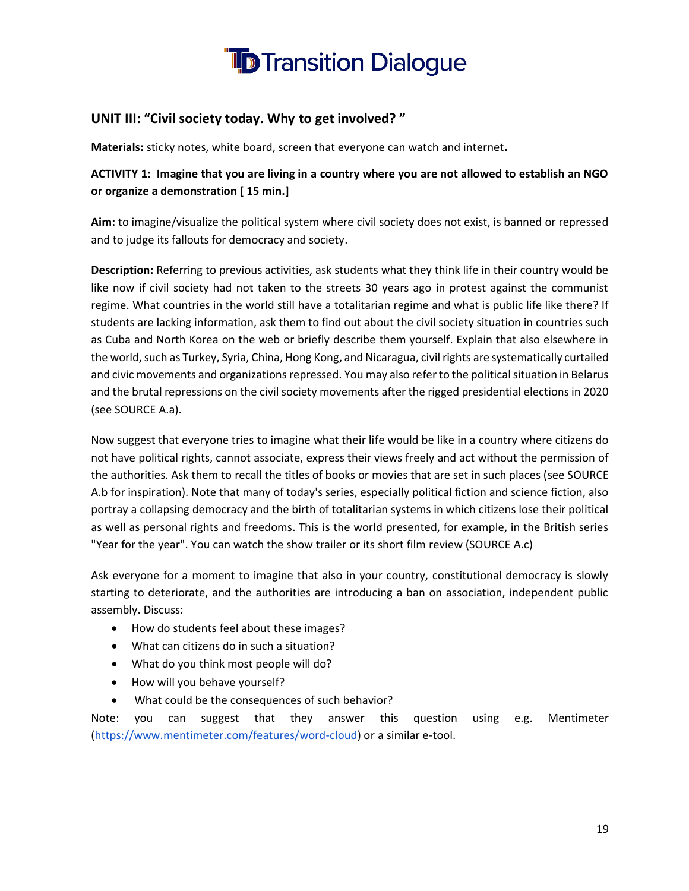

#### **UNIT III: "Civil society today. Why to get involved? "**

**Materials:** sticky notes, white board, screen that everyone can watch and internet**.**

**ACTIVITY 1: Imagine that you are living in a country where you are not allowed to establish an NGO or organize a demonstration [ 15 min.]**

**Aim:** to imagine/visualize the political system where civil society does not exist, is banned or repressed and to judge its fallouts for democracy and society.

**Description:** Referring to previous activities, ask students what they think life in their country would be like now if civil society had not taken to the streets 30 years ago in protest against the communist regime. What countries in the world still have a totalitarian regime and what is public life like there? If students are lacking information, ask them to find out about the civil society situation in countries such as Cuba and North Korea on the web or briefly describe them yourself. Explain that also elsewhere in the world, such as Turkey, Syria, China, Hong Kong, and Nicaragua, civil rights are systematically curtailed and civic movements and organizations repressed. You may also refer to the political situation in Belarus and the brutal repressions on the civil society movements after the rigged presidential elections in 2020 (see SOURCE A.a).

Now suggest that everyone tries to imagine what their life would be like in a country where citizens do not have political rights, cannot associate, express their views freely and act without the permission of the authorities. Ask them to recall the titles of books or movies that are set in such places (see SOURCE A.b for inspiration). Note that many of today's series, especially political fiction and science fiction, also portray a collapsing democracy and the birth of totalitarian systems in which citizens lose their political as well as personal rights and freedoms. This is the world presented, for example, in the British series "Year for the year". You can watch the show trailer or its short film review (SOURCE A.c)

Ask everyone for a moment to imagine that also in your country, constitutional democracy is slowly starting to deteriorate, and the authorities are introducing a ban on association, independent public assembly. Discuss:

- How do students feel about these images?
- What can citizens do in such a situation?
- What do you think most people will do?
- How will you behave yourself?
- What could be the consequences of such behavior?

Note: you can suggest that they answer this question using e.g. Mentimeter [\(https://www.mentimeter.com/features/word-cloud\)](https://www.mentimeter.com/features/word-cloud) or a similar e-tool.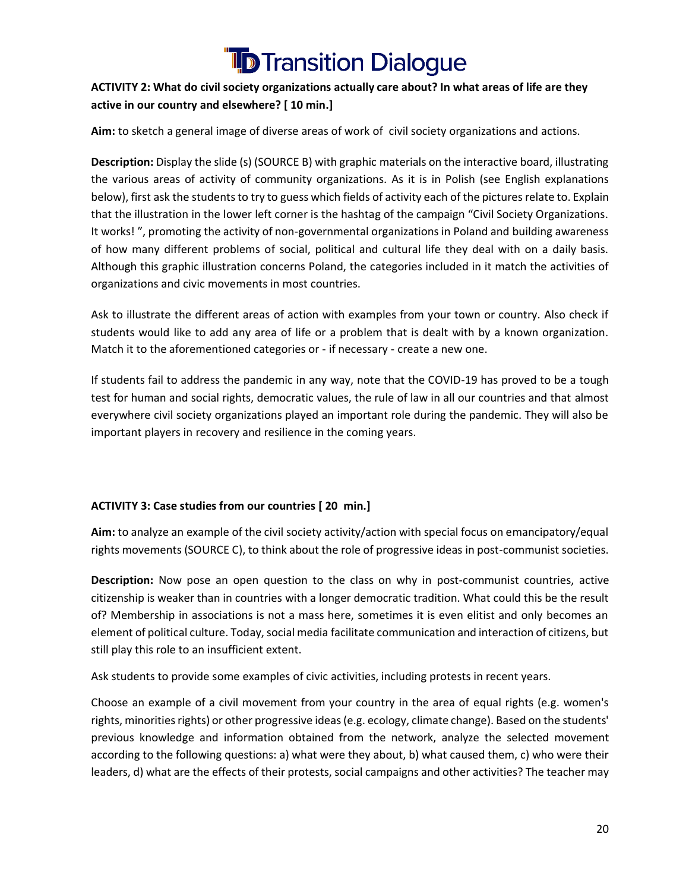#### **ACTIVITY 2: What do civil society organizations actually care about? In what areas of life are they active in our country and elsewhere? [ 10 min.]**

**Aim:** to sketch a general image of diverse areas of work of civil society organizations and actions.

**Description:** Display the slide (s) (SOURCE B) with graphic materials on the interactive board, illustrating the various areas of activity of community organizations. As it is in Polish (see English explanations below), first ask the students to try to guess which fields of activity each of the pictures relate to. Explain that the illustration in the lower left corner is the hashtag of the campaign "Civil Society Organizations. It works! ", promoting the activity of non-governmental organizations in Poland and building awareness of how many different problems of social, political and cultural life they deal with on a daily basis. Although this graphic illustration concerns Poland, the categories included in it match the activities of organizations and civic movements in most countries.

Ask to illustrate the different areas of action with examples from your town or country. Also check if students would like to add any area of life or a problem that is dealt with by a known organization. Match it to the aforementioned categories or - if necessary - create a new one.

If students fail to address the pandemic in any way, note that the COVID-19 has proved to be a tough test for human and social rights, democratic values, the rule of law in all our countries and that almost everywhere civil society organizations played an important role during the pandemic. They will also be important players in recovery and resilience in the coming years.

#### **ACTIVITY 3: Case studies from our countries [ 20 min.]**

**Aim:** to analyze an example of the civil society activity/action with special focus on emancipatory/equal rights movements (SOURCE C), to think about the role of progressive ideas in post-communist societies.

**Description:** Now pose an open question to the class on why in post-communist countries, active citizenship is weaker than in countries with a longer democratic tradition. What could this be the result of? Membership in associations is not a mass here, sometimes it is even elitist and only becomes an element of political culture. Today, social media facilitate communication and interaction of citizens, but still play this role to an insufficient extent.

Ask students to provide some examples of civic activities, including protests in recent years.

Choose an example of a civil movement from your country in the area of equal rights (e.g. women's rights, minorities rights) or other progressive ideas (e.g. ecology, climate change). Based on the students' previous knowledge and information obtained from the network, analyze the selected movement according to the following questions: a) what were they about, b) what caused them, c) who were their leaders, d) what are the effects of their protests, social campaigns and other activities? The teacher may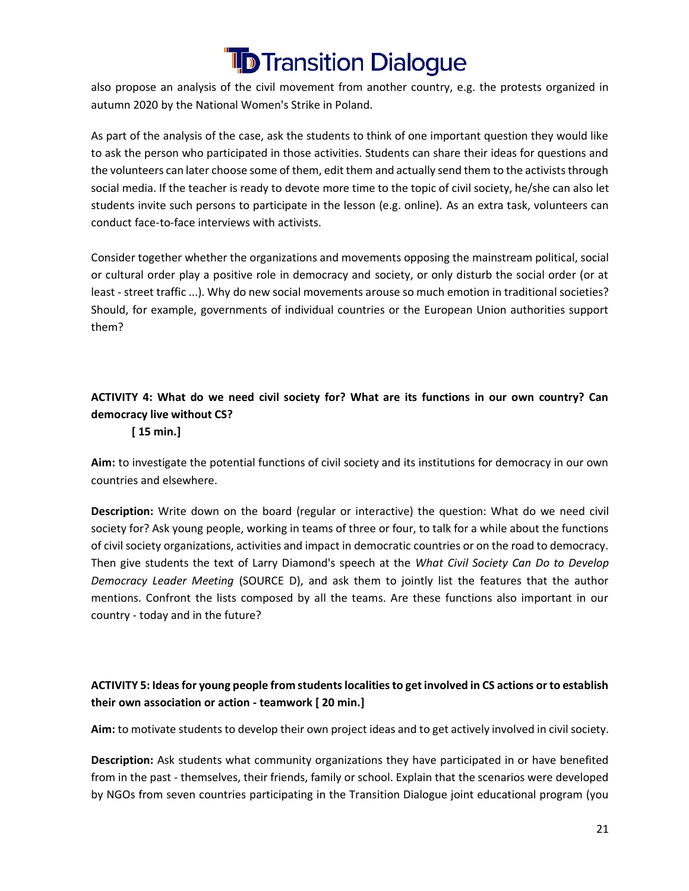also propose an analysis of the civil movement from another country, e.g. the protests organized in autumn 2020 by the National Women's Strike in Poland.

As part of the analysis of the case, ask the students to think of one important question they would like to ask the person who participated in those activities. Students can share their ideas for questions and the volunteers can later choose some of them, edit them and actually send them to the activists through social media. If the teacher is ready to devote more time to the topic of civil society, he/she can also let students invite such persons to participate in the lesson (e.g. online). As an extra task, volunteers can conduct face-to-face interviews with activists.

Consider together whether the organizations and movements opposing the mainstream political, social or cultural order play a positive role in democracy and society, or only disturb the social order (or at least - street traffic ...). Why do new social movements arouse so much emotion in traditional societies? Should, for example, governments of individual countries or the European Union authorities support them?

#### **ACTIVITY 4: What do we need civil society for? What are its functions in our own country? Can democracy live without CS?**

#### **[ 15 min.]**

**Aim:** to investigate the potential functions of civil society and its institutions for democracy in our own countries and elsewhere.

**Description:** Write down on the board (regular or interactive) the question: What do we need civil society for? Ask young people, working in teams of three or four, to talk for a while about the functions of civil society organizations, activities and impact in democratic countries or on the road to democracy. Then give students the text of Larry Diamond's speech at the *What Civil Society Can Do to Develop Democracy Leader Meeting* (SOURCE D), and ask them to jointly list the features that the author mentions. Confront the lists composed by all the teams. Are these functions also important in our country - today and in the future?

#### **ACTIVITY 5: Ideas for young people from students localities to get involved in CS actions or to establish their own association or action - teamwork [ 20 min.]**

**Aim:** to motivate students to develop their own project ideas and to get actively involved in civil society.

**Description:** Ask students what community organizations they have participated in or have benefited from in the past - themselves, their friends, family or school. Explain that the scenarios were developed by NGOs from seven countries participating in the Transition Dialogue joint educational program (you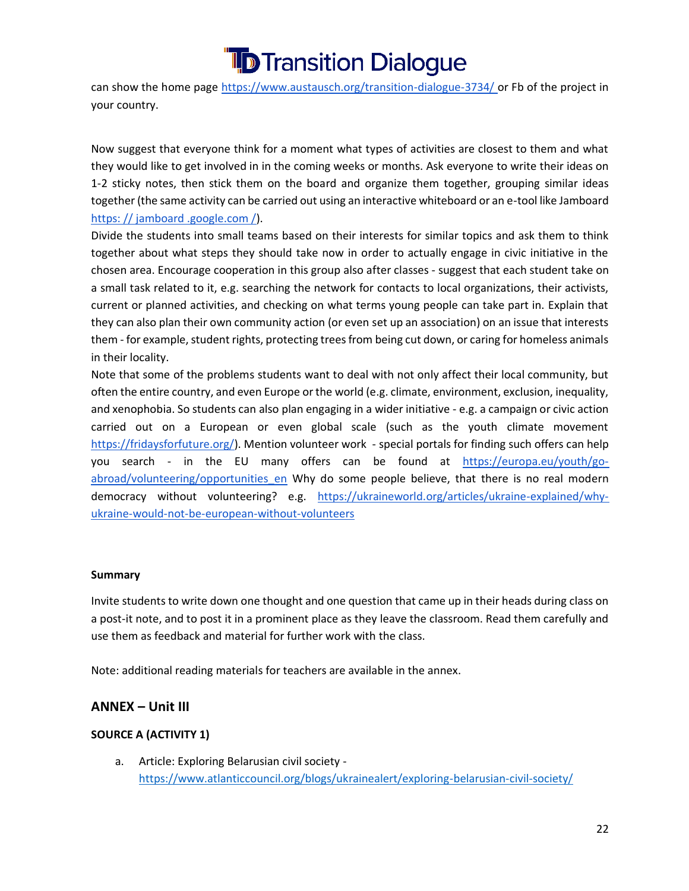

can show the home page [https://www.austausch.org/transition-dialogue-3734/ o](https://www.austausch.org/transition-dialogue-3734/)r Fb of the project in your country.

Now suggest that everyone think for a moment what types of activities are closest to them and what they would like to get involved in in the coming weeks or months. Ask everyone to write their ideas on 1-2 sticky notes, then stick them on the board and organize them together, grouping similar ideas together (the same activity can be carried out using an interactive whiteboard or an e-tool like Jamboard [https: // jamboard .google.com /\)](https://jamboard.google.com/).

Divide the students into small teams based on their interests for similar topics and ask them to think together about what steps they should take now in order to actually engage in civic initiative in the chosen area. Encourage cooperation in this group also after classes - suggest that each student take on a small task related to it, e.g. searching the network for contacts to local organizations, their activists, current or planned activities, and checking on what terms young people can take part in. Explain that they can also plan their own community action (or even set up an association) on an issue that interests them - for example, student rights, protecting trees from being cut down, or caring for homeless animals in their locality.

Note that some of the problems students want to deal with not only affect their local community, but often the entire country, and even Europe or the world (e.g. climate, environment, exclusion, inequality, and xenophobia. So students can also plan engaging in a wider initiative - e.g. a campaign or civic action carried out on a European or even global scale (such as the youth climate movement [https://fridaysforfuture.org/\)](https://fridaysforfuture.org/). Mention volunteer work - special portals for finding such offers can help you search - in the EU many offers can be found at [https://europa.eu/youth/go](https://europa.eu/youth/go-abroad/volunteering/opportunities_en)[abroad/volunteering/opportunities\\_en](https://europa.eu/youth/go-abroad/volunteering/opportunities_en) Why do some people believe, that there is no real modern democracy without volunteering? e.g. [https://ukraineworld.org/articles/ukraine-explained/why](https://ukraineworld.org/articles/ukraine-explained/why-ukraine-would-not-be-european-without-volunteers)[ukraine-would-not-be-european-without-volunteers](https://ukraineworld.org/articles/ukraine-explained/why-ukraine-would-not-be-european-without-volunteers)

#### **Summary**

Invite students to write down one thought and one question that came up in their heads during class on a post-it note, and to post it in a prominent place as they leave the classroom. Read them carefully and use them as feedback and material for further work with the class.

Note: additional reading materials for teachers are available in the annex.

#### **ANNEX – Unit III**

#### **SOURCE A (ACTIVITY 1)**

a. Article: Exploring Belarusian civil society <https://www.atlanticcouncil.org/blogs/ukrainealert/exploring-belarusian-civil-society/>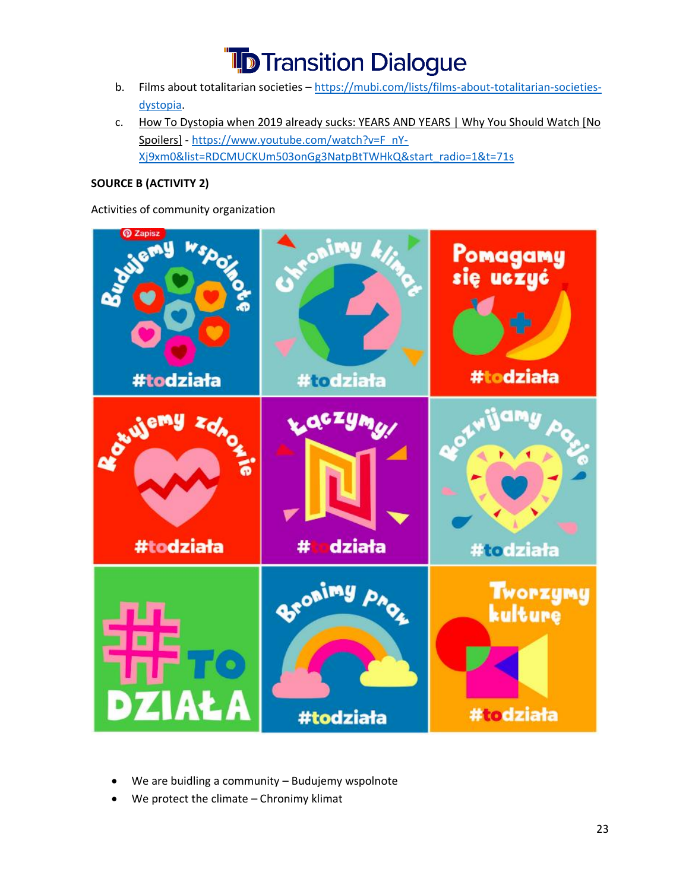- b. Films about totalitarian societies [https://mubi.com/lists/films-about-totalitarian-societies](https://mubi.com/lists/films-about-totalitarian-societies-dystopia)[dystopia.](https://mubi.com/lists/films-about-totalitarian-societies-dystopia)
- c. [How To Dystopia when 2019 already sucks: YEARS AND YEARS | Why You Should Watch \[No](https://www.youtube.com/watch?v=F_nY-Xj9xm0&list=RDCMUCKUm503onGg3NatpBtTWHkQ&start_radio=1&rv=F_nY-Xj9xm0&t=71&ab_channel=SkipIntroSkipIntro)  [Spoilers\]](https://www.youtube.com/watch?v=F_nY-Xj9xm0&list=RDCMUCKUm503onGg3NatpBtTWHkQ&start_radio=1&rv=F_nY-Xj9xm0&t=71&ab_channel=SkipIntroSkipIntro) - [https://www.youtube.com/watch?v=F\\_nY-](https://www.youtube.com/watch?v=F_nY-Xj9xm0&list=RDCMUCKUm503onGg3NatpBtTWHkQ&start_radio=1&t=71s)[Xj9xm0&list=RDCMUCKUm503onGg3NatpBtTWHkQ&start\\_radio=1&t=71s](https://www.youtube.com/watch?v=F_nY-Xj9xm0&list=RDCMUCKUm503onGg3NatpBtTWHkQ&start_radio=1&t=71s)

#### **SOURCE B (ACTIVITY 2)**

Activities of community organization



- We are buidling a community Budujemy wspolnote
- We protect the climate  $-$  Chronimy klimat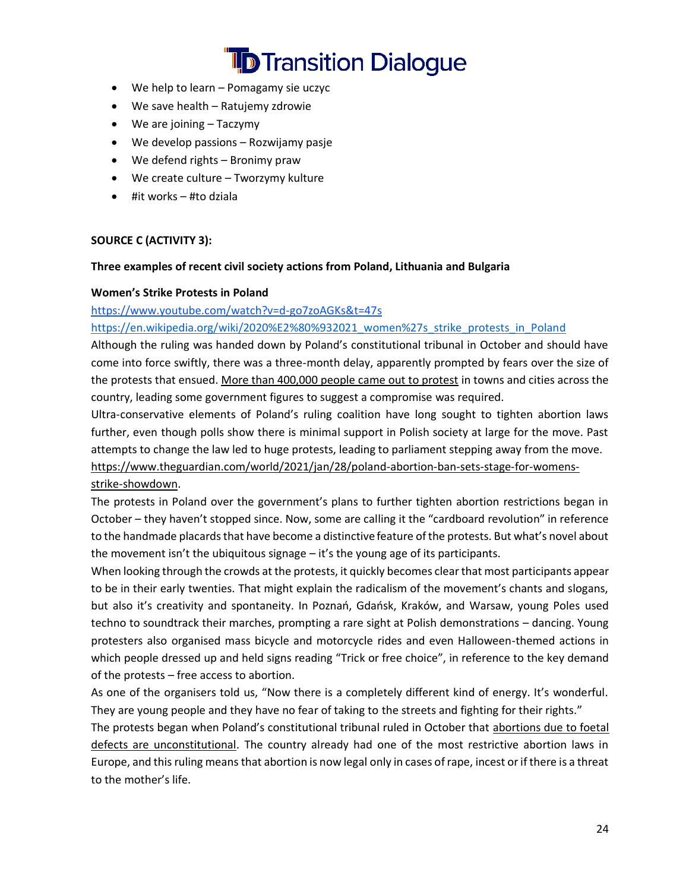- We help to learn Pomagamy sie uczyc
- We save health Ratujemy zdrowie
- We are joining Taczymy
- We develop passions Rozwijamy pasje
- We defend rights Bronimy praw
- We create culture Tworzymy kulture
- #it works  $-$  #to dziala

#### **SOURCE C (ACTIVITY 3):**

#### **Three examples of recent civil society actions from Poland, Lithuania and Bulgaria**

#### **Women's Strike Protests in Poland**

#### <https://www.youtube.com/watch?v=d-go7zoAGKs&t=47s>

#### [https://en.wikipedia.org/wiki/2020%E2%80%932021\\_women%27s\\_strike\\_protests\\_in\\_Poland](https://en.wikipedia.org/wiki/2020%E2%80%932021_women%27s_strike_protests_in_Poland)

Although the ruling was handed down by Poland's constitutional tribunal in October and should have come into force swiftly, there was a three-month delay, apparently prompted by fears over the size of the protests that ensued[. More than 400,000 people came out to protest](https://www.theguardian.com/world/2020/oct/30/pro-choice-supporters-hold-biggest-ever-protest-against-polish-government) in towns and cities across the country, leading some government figures to suggest a compromise was required.

Ultra-conservative elements of Poland's ruling coalition have long sought to tighten abortion laws further, even though polls show there is minimal support in Polish society at large for the move. Past attempts to change the law led to huge protests, leading to parliament stepping away from the move. [https://www.theguardian.com/world/2021/jan/28/poland-abortion-ban-sets-stage-for-womens](https://www.theguardian.com/world/2021/jan/28/poland-abortion-ban-sets-stage-for-womens-strike-showdown)[strike-showdown.](https://www.theguardian.com/world/2021/jan/28/poland-abortion-ban-sets-stage-for-womens-strike-showdown)

The protests in Poland over the government's plans to further tighten abortion restrictions began in October – they haven't stopped since. Now, some are calling it the "cardboard revolution" in reference to the handmade placards that have become a distinctive feature of the protests. But what's novel about the movement isn't the ubiquitous signage – it's the young age of its participants.

When looking through the crowds at the protests, it quickly becomes clear that most participants appear to be in their early twenties. That might explain the radicalism of the movement's chants and slogans, but also it's creativity and spontaneity. In Poznań, Gdańsk, Kraków, and Warsaw, young Poles used techno to soundtrack their marches, prompting a rare sight at Polish demonstrations – dancing. Young protesters also organised mass bicycle and motorcycle rides and even Halloween-themed actions in which people dressed up and held signs reading "Trick or free choice", in reference to the key demand of the protests – free access to abortion.

As one of the organisers told us, "Now there is a completely different kind of energy. It's wonderful. They are young people and they have no fear of taking to the streets and fighting for their rights."

The protests began when Poland's constitutional tribunal ruled in October that [abortions due to foetal](https://www.theguardian.com/world/2020/oct/22/poland-rules-abortion-due-to-foetal-defects-unconstitutional)  [defects are unconstitutional.](https://www.theguardian.com/world/2020/oct/22/poland-rules-abortion-due-to-foetal-defects-unconstitutional) The country already had one of the most restrictive abortion laws in Europe, and this ruling means that abortion is now legal only in cases of rape, incest or if there is a threat to the mother's life.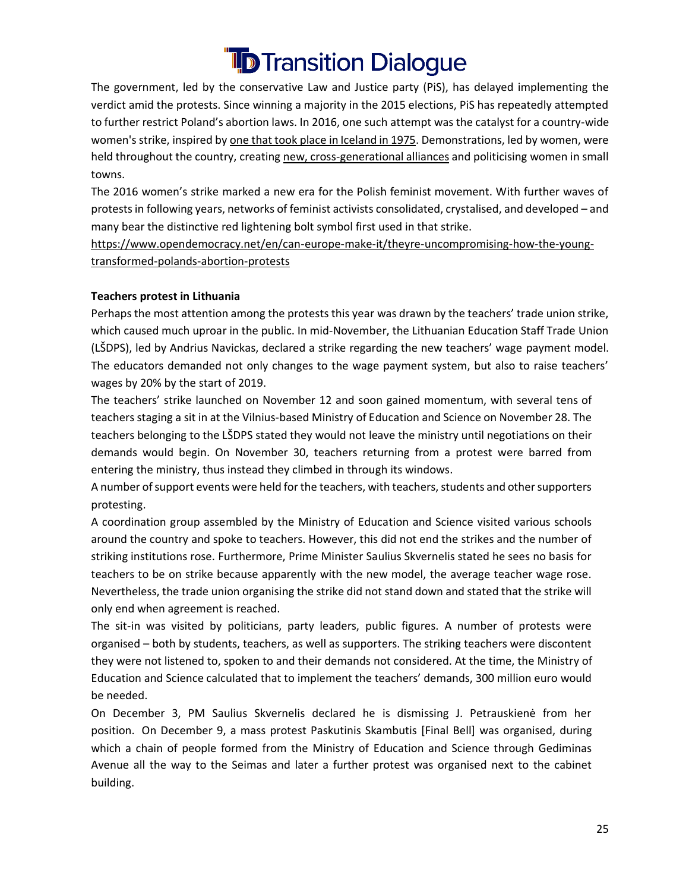The government, led by the conservative Law and Justice party (PiS), has delayed implementing the verdict amid the protests. Since winning a majority in the 2015 elections, PiS has repeatedly attempted to further restrict Poland's abortion laws. In 2016, one such attempt was the catalyst for a country-wide women's strike, inspired b[y one that took place in Iceland in 1975.](https://www.bbc.com/news/magazine-34602822) Demonstrations, led by women, were held throughout the country, creating [new, cross-generational alliances](https://www.opendemocracy.net/en/small-town-feminist-activism-in-poland/) and politicising women in small towns.

The 2016 women's strike marked a new era for the Polish feminist movement. With further waves of protestsin following years, networks of feminist activists consolidated, crystalised, and developed – and many bear the distinctive red lightening bolt symbol first used in that strike.

[https://www.opendemocracy.net/en/can-europe-make-it/theyre-uncompromising-how-the-young](https://www.opendemocracy.net/en/can-europe-make-it/theyre-uncompromising-how-the-young-transformed-polands-abortion-protests/)[transformed-polands-abortion-protests](https://www.opendemocracy.net/en/can-europe-make-it/theyre-uncompromising-how-the-young-transformed-polands-abortion-protests/)

#### **Teachers protest in Lithuania**

Perhaps the most attention among the protests this year was drawn by the teachers' trade union strike, which caused much uproar in the public. In mid-November, the Lithuanian Education Staff Trade Union (LŠDPS), led by Andrius Navickas, declared a strike regarding the new teachers' wage payment model. The educators demanded not only changes to the wage payment system, but also to raise teachers' wages by 20% by the start of 2019.

The teachers' strike launched on November 12 and soon gained momentum, with several tens of teachers staging a sit in at the Vilnius-based Ministry of Education and Science on November 28. The teachers belonging to the LŠDPS stated they would not leave the ministry until negotiations on their demands would begin. On November 30, teachers returning from a protest were barred from entering the ministry, thus instead they climbed in through its windows.

A number of support events were held for the teachers, with teachers, students and other supporters protesting.

A coordination group assembled by the Ministry of Education and Science visited various schools around the country and spoke to teachers. However, this did not end the strikes and the number of striking institutions rose. Furthermore, Prime Minister Saulius Skvernelis stated he sees no basis for teachers to be on strike because apparently with the new model, the average teacher wage rose. Nevertheless, the trade union organising the strike did not stand down and stated that the strike will only end when agreement is reached.

The sit-in was visited by politicians, party leaders, public figures. A number of protests were organised – both by students, teachers, as well as supporters. The striking teachers were discontent they were not listened to, spoken to and their demands not considered. At the time, the Ministry of Education and Science calculated that to implement the teachers' demands, 300 million euro would be needed.

On December 3, PM Saulius Skvernelis declared he is dismissing J. Petrauskienė from her position. On December 9, a mass protest Paskutinis Skambutis [Final Bell] was organised, during which a chain of people formed from the Ministry of Education and Science through Gediminas Avenue all the way to the Seimas and later a further protest was organised next to the cabinet building.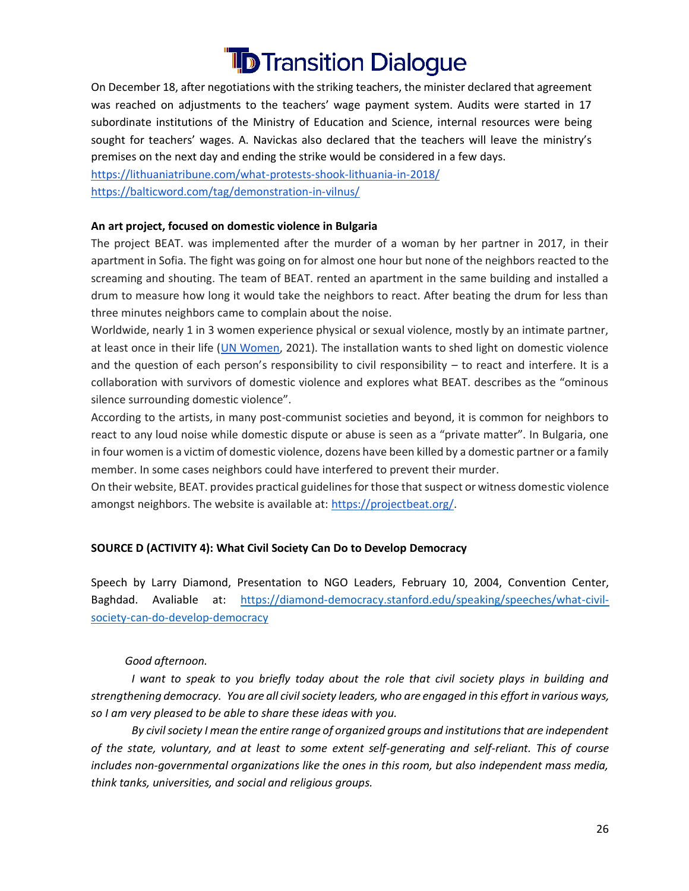On December 18, after negotiations with the striking teachers, the minister declared that agreement was reached on adjustments to the teachers' wage payment system. Audits were started in 17 subordinate institutions of the Ministry of Education and Science, internal resources were being sought for teachers' wages. A. Navickas also declared that the teachers will leave the ministry's premises on the next day and ending the strike would be considered in a few days.

<https://lithuaniatribune.com/what-protests-shook-lithuania-in-2018/> <https://balticword.com/tag/demonstration-in-vilnus/>

#### **An art project, focused on domestic violence in Bulgaria**

The project BEAT. was implemented after the murder of a woman by her partner in 2017, in their apartment in Sofia. The fight was going on for almost one hour but none of the neighbors reacted to the screaming and shouting. The team of BEAT. rented an apartment in the same building and installed a drum to measure how long it would take the neighbors to react. After beating the drum for less than three minutes neighbors came to complain about the noise.

Worldwide, nearly 1 in 3 women experience physical or sexual violence, mostly by an intimate partner, at least once in their life [\(UN Women,](https://www.unwomen.org/en/what-we-do/ending-violence-against-women/facts-and-figures) 2021). The installation wants to shed light on domestic violence and the question of each person's responsibility to civil responsibility – to react and interfere. It is a collaboration with survivors of domestic violence and explores what BEAT. describes as the "ominous silence surrounding domestic violence".

According to the artists, in many post-communist societies and beyond, it is common for neighbors to react to any loud noise while domestic dispute or abuse is seen as a "private matter". In Bulgaria, one in four women is a victim of domestic violence, dozens have been killed by a domestic partner or a family member. In some cases neighbors could have interfered to prevent their murder.

On their website, BEAT. provides practical guidelines for those that suspect or witness domestic violence amongst neighbors. The website is available at: [https://projectbeat.org/.](https://projectbeat.org/)

#### **SOURCE D (ACTIVITY 4): What Civil Society Can Do to Develop Democracy**

Speech by Larry Diamond, Presentation to NGO Leaders, February 10, 2004, Convention Center, Baghdad. Avaliable at: [https://diamond-democracy.stanford.edu/speaking/speeches/what-civil](https://diamond-democracy.stanford.edu/speaking/speeches/what-civil-society-can-do-develop-democracy)[society-can-do-develop-democracy](https://diamond-democracy.stanford.edu/speaking/speeches/what-civil-society-can-do-develop-democracy)

#### *Good afternoon.*

*I* want to speak to you briefly today about the role that civil society plays in building and *strengthening democracy. You are all civil society leaders, who are engaged in this effort in various ways, so I am very pleased to be able to share these ideas with you.*

 *By civil society I mean the entire range of organized groups and institutions that are independent of the state, voluntary, and at least to some extent self-generating and self-reliant. This of course includes non-governmental organizations like the ones in this room, but also independent mass media, think tanks, universities, and social and religious groups.*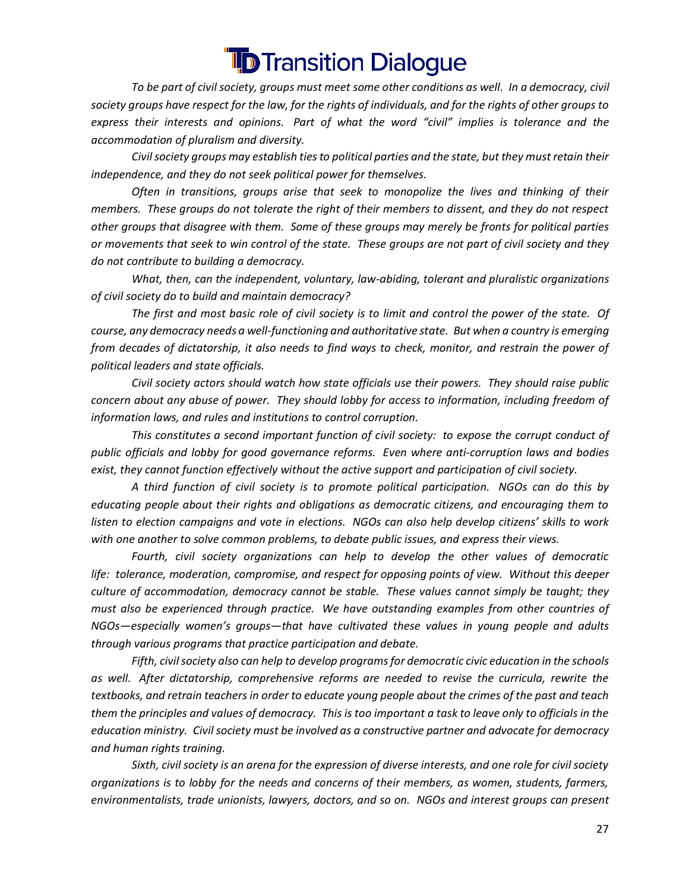*To be part of civil society, groups must meet some other conditions as well. In a democracy, civil society groups have respect for the law, for the rights of individuals, and for the rights of other groups to express their interests and opinions. Part of what the word "civil" implies is tolerance and the accommodation of pluralism and diversity.*

 *Civil society groups may establish ties to political parties and the state, but they must retain their independence, and they do not seek political power for themselves.*

 *Often in transitions, groups arise that seek to monopolize the lives and thinking of their members. These groups do not tolerate the right of their members to dissent, and they do not respect other groups that disagree with them. Some of these groups may merely be fronts for political parties or movements that seek to win control of the state. These groups are not part of civil society and they do not contribute to building a democracy.*

 *What, then, can the independent, voluntary, law-abiding, tolerant and pluralistic organizations of civil society do to build and maintain democracy?*

 *The first and most basic role of civil society is to limit and control the power of the state. Of course, any democracy needs a well-functioning and authoritative state. But when a country is emerging from decades of dictatorship, it also needs to find ways to check, monitor, and restrain the power of political leaders and state officials.*

 *Civil society actors should watch how state officials use their powers. They should raise public concern about any abuse of power. They should lobby for access to information, including freedom of information laws, and rules and institutions to control corruption.*

 *This constitutes a second important function of civil society: to expose the corrupt conduct of public officials and lobby for good governance reforms. Even where anti-corruption laws and bodies exist, they cannot function effectively without the active support and participation of civil society.*

 *A third function of civil society is to promote political participation. NGOs can do this by educating people about their rights and obligations as democratic citizens, and encouraging them to listen to election campaigns and vote in elections. NGOs can also help develop citizens' skills to work with one another to solve common problems, to debate public issues, and express their views.*

 *Fourth, civil society organizations can help to develop the other values of democratic life: tolerance, moderation, compromise, and respect for opposing points of view. Without this deeper culture of accommodation, democracy cannot be stable. These values cannot simply be taught; they must also be experienced through practice. We have outstanding examples from other countries of NGOs—especially women's groups—that have cultivated these values in young people and adults through various programs that practice participation and debate.*

 *Fifth, civil society also can help to develop programs for democratic civic education in the schools as well. After dictatorship, comprehensive reforms are needed to revise the curricula, rewrite the textbooks, and retrain teachers in order to educate young people about the crimes of the past and teach them the principles and values of democracy. This is too important a task to leave only to officials in the education ministry. Civil society must be involved as a constructive partner and advocate for democracy and human rights training.*

 *Sixth, civil society is an arena for the expression of diverse interests, and one role for civil society organizations is to lobby for the needs and concerns of their members, as women, students, farmers, environmentalists, trade unionists, lawyers, doctors, and so on. NGOs and interest groups can present*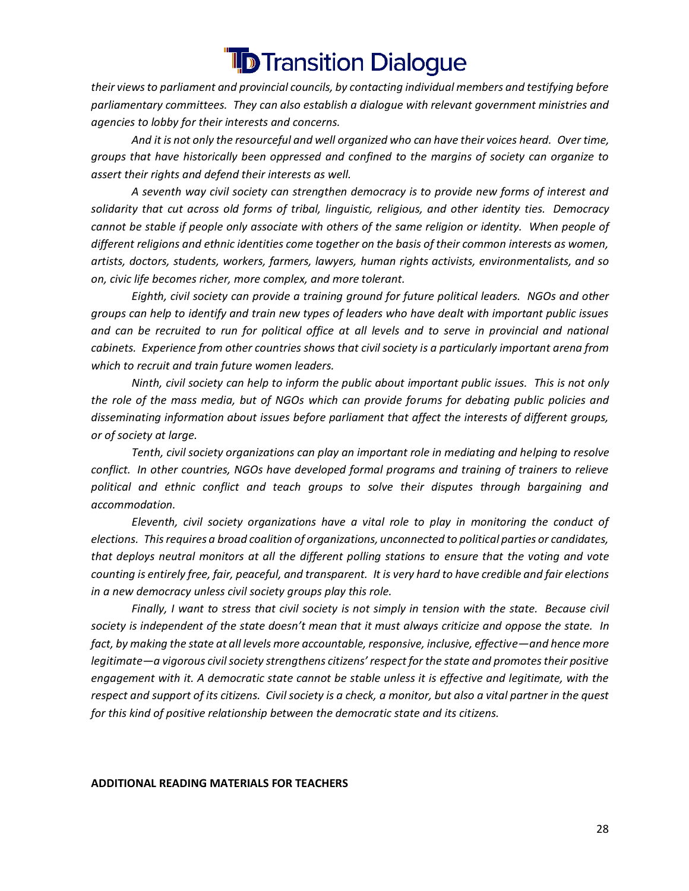*their views to parliament and provincial councils, by contacting individual members and testifying before parliamentary committees. They can also establish a dialogue with relevant government ministries and agencies to lobby for their interests and concerns.*

 *And it is not only the resourceful and well organized who can have their voices heard. Over time, groups that have historically been oppressed and confined to the margins of society can organize to assert their rights and defend their interests as well.*

 *A seventh way civil society can strengthen democracy is to provide new forms of interest and solidarity that cut across old forms of tribal, linguistic, religious, and other identity ties. Democracy cannot be stable if people only associate with others of the same religion or identity. When people of different religions and ethnic identities come together on the basis of their common interests as women, artists, doctors, students, workers, farmers, lawyers, human rights activists, environmentalists, and so on, civic life becomes richer, more complex, and more tolerant.*

 *Eighth, civil society can provide a training ground for future political leaders. NGOs and other groups can help to identify and train new types of leaders who have dealt with important public issues*  and can be recruited to run for political office at all levels and to serve in provincial and national *cabinets. Experience from other countries shows that civil society is a particularly important arena from which to recruit and train future women leaders.*

 *Ninth, civil society can help to inform the public about important public issues. This is not only the role of the mass media, but of NGOs which can provide forums for debating public policies and disseminating information about issues before parliament that affect the interests of different groups, or of society at large.*

 *Tenth, civil society organizations can play an important role in mediating and helping to resolve conflict. In other countries, NGOs have developed formal programs and training of trainers to relieve political and ethnic conflict and teach groups to solve their disputes through bargaining and accommodation.*

 *Eleventh, civil society organizations have a vital role to play in monitoring the conduct of elections. This requires a broad coalition of organizations, unconnected to political parties or candidates, that deploys neutral monitors at all the different polling stations to ensure that the voting and vote counting is entirely free, fair, peaceful, and transparent. It is very hard to have credible and fair elections in a new democracy unless civil society groups play this role.*

 *Finally, I want to stress that civil society is not simply in tension with the state. Because civil society is independent of the state doesn't mean that it must always criticize and oppose the state. In fact, by making the state at all levels more accountable, responsive, inclusive, effective—and hence more legitimate—a vigorous civil society strengthens citizens' respect for the state and promotes their positive engagement with it. A democratic state cannot be stable unless it is effective and legitimate, with the respect and support of its citizens. Civil society is a check, a monitor, but also a vital partner in the quest for this kind of positive relationship between the democratic state and its citizens.*

#### **ADDITIONAL READING MATERIALS FOR TEACHERS**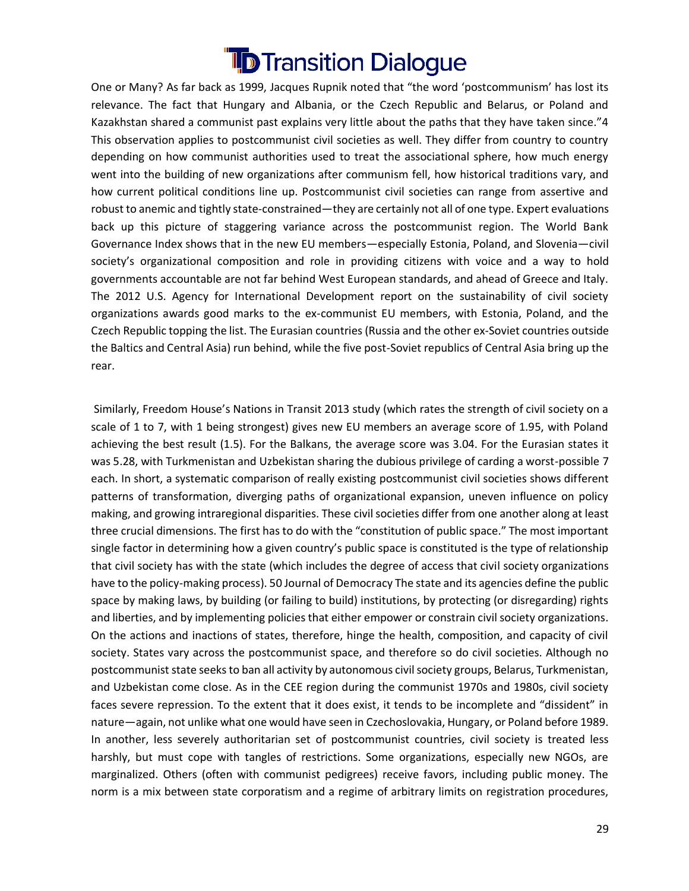One or Many? As far back as 1999, Jacques Rupnik noted that "the word 'postcommunism' has lost its relevance. The fact that Hungary and Albania, or the Czech Republic and Belarus, or Poland and Kazakhstan shared a communist past explains very little about the paths that they have taken since."4 This observation applies to postcommunist civil societies as well. They differ from country to country depending on how communist authorities used to treat the associational sphere, how much energy went into the building of new organizations after communism fell, how historical traditions vary, and how current political conditions line up. Postcommunist civil societies can range from assertive and robust to anemic and tightly state-constrained—they are certainly not all of one type. Expert evaluations back up this picture of staggering variance across the postcommunist region. The World Bank Governance Index shows that in the new EU members—especially Estonia, Poland, and Slovenia—civil society's organizational composition and role in providing citizens with voice and a way to hold governments accountable are not far behind West European standards, and ahead of Greece and Italy. The 2012 U.S. Agency for International Development report on the sustainability of civil society organizations awards good marks to the ex-communist EU members, with Estonia, Poland, and the Czech Republic topping the list. The Eurasian countries (Russia and the other ex-Soviet countries outside the Baltics and Central Asia) run behind, while the five post-Soviet republics of Central Asia bring up the rear.

Similarly, Freedom House's Nations in Transit 2013 study (which rates the strength of civil society on a scale of 1 to 7, with 1 being strongest) gives new EU members an average score of 1.95, with Poland achieving the best result (1.5). For the Balkans, the average score was 3.04. For the Eurasian states it was 5.28, with Turkmenistan and Uzbekistan sharing the dubious privilege of carding a worst-possible 7 each. In short, a systematic comparison of really existing postcommunist civil societies shows different patterns of transformation, diverging paths of organizational expansion, uneven influence on policy making, and growing intraregional disparities. These civil societies differ from one another along at least three crucial dimensions. The first has to do with the "constitution of public space." The most important single factor in determining how a given country's public space is constituted is the type of relationship that civil society has with the state (which includes the degree of access that civil society organizations have to the policy-making process). 50 Journal of Democracy The state and its agencies define the public space by making laws, by building (or failing to build) institutions, by protecting (or disregarding) rights and liberties, and by implementing policies that either empower or constrain civil society organizations. On the actions and inactions of states, therefore, hinge the health, composition, and capacity of civil society. States vary across the postcommunist space, and therefore so do civil societies. Although no postcommunist state seeks to ban all activity by autonomous civil society groups, Belarus, Turkmenistan, and Uzbekistan come close. As in the CEE region during the communist 1970s and 1980s, civil society faces severe repression. To the extent that it does exist, it tends to be incomplete and "dissident" in nature—again, not unlike what one would have seen in Czechoslovakia, Hungary, or Poland before 1989. In another, less severely authoritarian set of postcommunist countries, civil society is treated less harshly, but must cope with tangles of restrictions. Some organizations, especially new NGOs, are marginalized. Others (often with communist pedigrees) receive favors, including public money. The norm is a mix between state corporatism and a regime of arbitrary limits on registration procedures,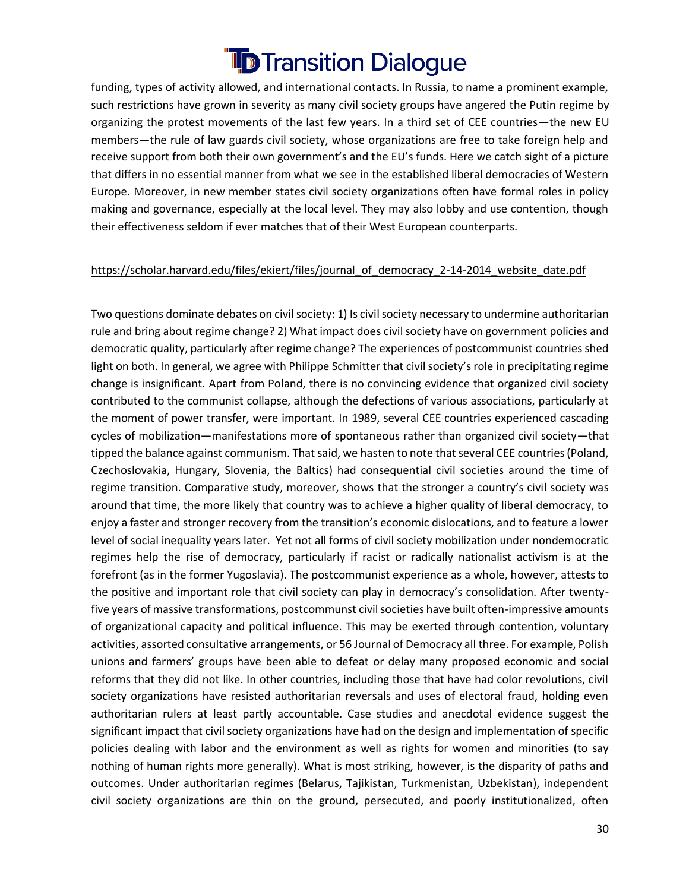funding, types of activity allowed, and international contacts. In Russia, to name a prominent example, such restrictions have grown in severity as many civil society groups have angered the Putin regime by organizing the protest movements of the last few years. In a third set of CEE countries—the new EU members—the rule of law guards civil society, whose organizations are free to take foreign help and receive support from both their own government's and the EU's funds. Here we catch sight of a picture that differs in no essential manner from what we see in the established liberal democracies of Western Europe. Moreover, in new member states civil society organizations often have formal roles in policy making and governance, especially at the local level. They may also lobby and use contention, though their effectiveness seldom if ever matches that of their West European counterparts.

#### [https://scholar.harvard.edu/files/ekiert/files/journal\\_of\\_democracy\\_2-14-2014\\_website\\_date.pdf](https://scholar.harvard.edu/files/ekiert/files/journal_of_democracy_2-14-2014_website_date.pdf)

Two questions dominate debates on civil society: 1) Is civil society necessary to undermine authoritarian rule and bring about regime change? 2) What impact does civil society have on government policies and democratic quality, particularly after regime change? The experiences of postcommunist countries shed light on both. In general, we agree with Philippe Schmitter that civil society's role in precipitating regime change is insignificant. Apart from Poland, there is no convincing evidence that organized civil society contributed to the communist collapse, although the defections of various associations, particularly at the moment of power transfer, were important. In 1989, several CEE countries experienced cascading cycles of mobilization—manifestations more of spontaneous rather than organized civil society—that tipped the balance against communism. That said, we hasten to note that several CEE countries (Poland, Czechoslovakia, Hungary, Slovenia, the Baltics) had consequential civil societies around the time of regime transition. Comparative study, moreover, shows that the stronger a country's civil society was around that time, the more likely that country was to achieve a higher quality of liberal democracy, to enjoy a faster and stronger recovery from the transition's economic dislocations, and to feature a lower level of social inequality years later. Yet not all forms of civil society mobilization under nondemocratic regimes help the rise of democracy, particularly if racist or radically nationalist activism is at the forefront (as in the former Yugoslavia). The postcommunist experience as a whole, however, attests to the positive and important role that civil society can play in democracy's consolidation. After twentyfive years of massive transformations, postcommunst civil societies have built often-impressive amounts of organizational capacity and political influence. This may be exerted through contention, voluntary activities, assorted consultative arrangements, or 56 Journal of Democracy all three. For example, Polish unions and farmers' groups have been able to defeat or delay many proposed economic and social reforms that they did not like. In other countries, including those that have had color revolutions, civil society organizations have resisted authoritarian reversals and uses of electoral fraud, holding even authoritarian rulers at least partly accountable. Case studies and anecdotal evidence suggest the significant impact that civil society organizations have had on the design and implementation of specific policies dealing with labor and the environment as well as rights for women and minorities (to say nothing of human rights more generally). What is most striking, however, is the disparity of paths and outcomes. Under authoritarian regimes (Belarus, Tajikistan, Turkmenistan, Uzbekistan), independent civil society organizations are thin on the ground, persecuted, and poorly institutionalized, often